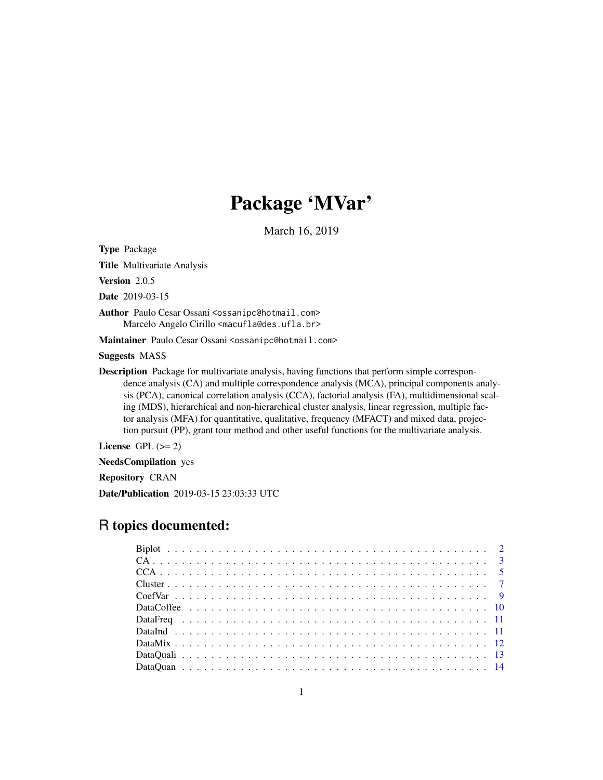# Package 'MVar'

March 16, 2019

Type Package

Title Multivariate Analysis

Version 2.0.5

Date 2019-03-15

Author Paulo Cesar Ossani <ossanipc@hotmail.com> Marcelo Angelo Cirillo <macufla@des.ufla.br>

Maintainer Paulo Cesar Ossani <ossanipc@hotmail.com>

Suggests MASS

Description Package for multivariate analysis, having functions that perform simple correspondence analysis (CA) and multiple correspondence analysis (MCA), principal components analysis (PCA), canonical correlation analysis (CCA), factorial analysis (FA), multidimensional scaling (MDS), hierarchical and non-hierarchical cluster analysis, linear regression, multiple factor analysis (MFA) for quantitative, qualitative, frequency (MFACT) and mixed data, projection pursuit (PP), grant tour method and other useful functions for the multivariate analysis.

License GPL  $(>= 2)$ 

NeedsCompilation yes

Repository CRAN

Date/Publication 2019-03-15 23:03:33 UTC

# R topics documented: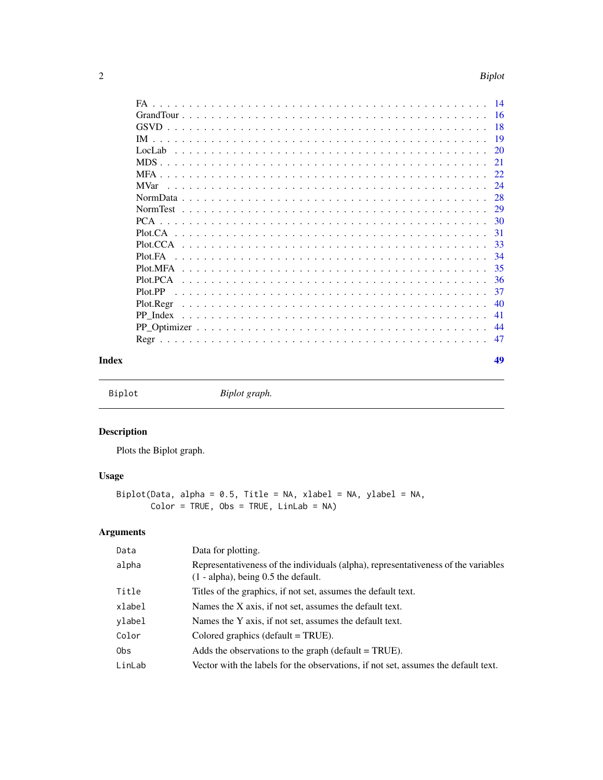<span id="page-1-0"></span>

| ~<br>. . | <b>Biplot</b> |
|----------|---------------|
|          | ____          |

| FA              |
|-----------------|
|                 |
| -18             |
| 19              |
|                 |
| -21             |
| 22              |
| 24              |
| 28              |
|                 |
| 30              |
| -31             |
| - 33            |
| -34             |
| -35<br>Plot.MFA |
| 36<br>Plot.PCA  |
| -37<br>Plot PP  |
| 40<br>Plot.Regr |
| 41<br>PP Index  |
| 44              |
| 47<br>Regr      |
|                 |

#### **Index a** set of the contract of the contract of the contract of the contract of the contract of the contract of the contract of the contract of the contract of the contract of the contract of the contract of the contrac

Biplot *Biplot graph.*

# Description

Plots the Biplot graph.

# Usage

```
Biplot(Data, alpha = 0.5, Title = NA, xlabel = NA, ylabel = NA,
      Color = TRUE, Obs = TRUE, LinLab = NA)
```
# Arguments

| Data   | Data for plotting.                                                                                                           |
|--------|------------------------------------------------------------------------------------------------------------------------------|
| alpha  | Representativeness of the individuals (alpha), representativeness of the variables<br>$(1 - alpha)$ , being 0.5 the default. |
| Title  | Titles of the graphics, if not set, assumes the default text.                                                                |
| xlabel | Names the X axis, if not set, assumes the default text.                                                                      |
| ylabel | Names the Y axis, if not set, assumes the default text.                                                                      |
| Color  | Colored graphics (default $=$ TRUE).                                                                                         |
| 0bs    | Adds the observations to the graph (default $= TRUE$ ).                                                                      |
| LinLab | Vector with the labels for the observations, if not set, assumes the default text.                                           |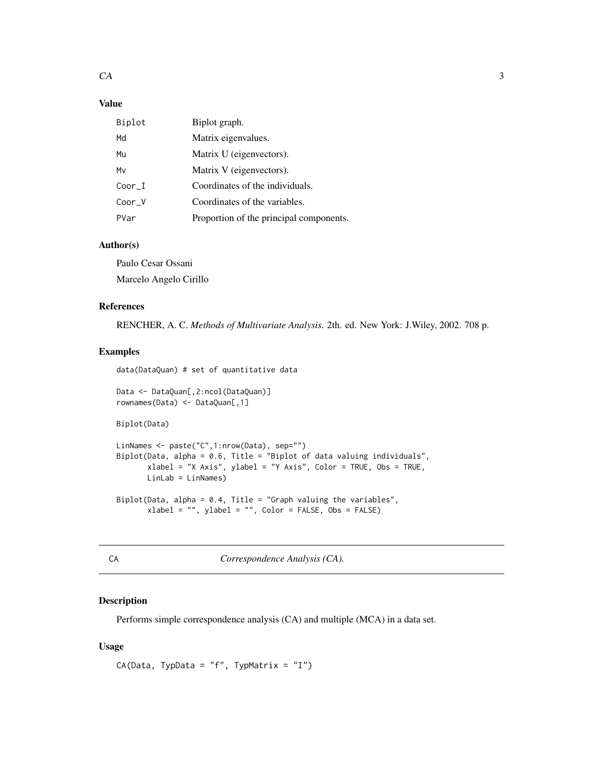# <span id="page-2-0"></span>Value

| Biplot   | Biplot graph.                           |
|----------|-----------------------------------------|
| Md       | Matrix eigenvalues.                     |
| Mu       | Matrix U (eigenvectors).                |
| Mv       | Matrix V (eigenvectors).                |
| Coor I   | Coordinates of the individuals.         |
| $Coor_V$ | Coordinates of the variables.           |
| PVar     | Proportion of the principal components. |

# Author(s)

Paulo Cesar Ossani Marcelo Angelo Cirillo

#### References

RENCHER, A. C. *Methods of Multivariate Analysis.* 2th. ed. New York: J.Wiley, 2002. 708 p.

# Examples

```
data(DataQuan) # set of quantitative data
Data <- DataQuan[,2:ncol(DataQuan)]
rownames(Data) <- DataQuan[,1]
Biplot(Data)
LinNames <- paste("C",1:nrow(Data), sep="")
Biplot(Data, alpha = 0.6, Title = "Biplot of data valuing individuals",
       xlabel = "X Axis", ylabel = "Y Axis", Color = TRUE, Obs = TRUE,
       LinLab = LinNames)
Biplot(Data, alpha = 0.4, Title = "Graph valuing the variables",
       xlabel = "", ylabel = "", Color = FALSE, Obs = FALSE)
```
<span id="page-2-1"></span>

| e. | ×<br>п. |  |
|----|---------|--|
|    |         |  |
| M. | ۰.<br>v |  |
|    |         |  |

A *Correspondence Analysis (CA).* 

# Description

Performs simple correspondence analysis (CA) and multiple (MCA) in a data set.

#### Usage

```
CA(Data, TypeData = "f", TypeMatrix = "I")
```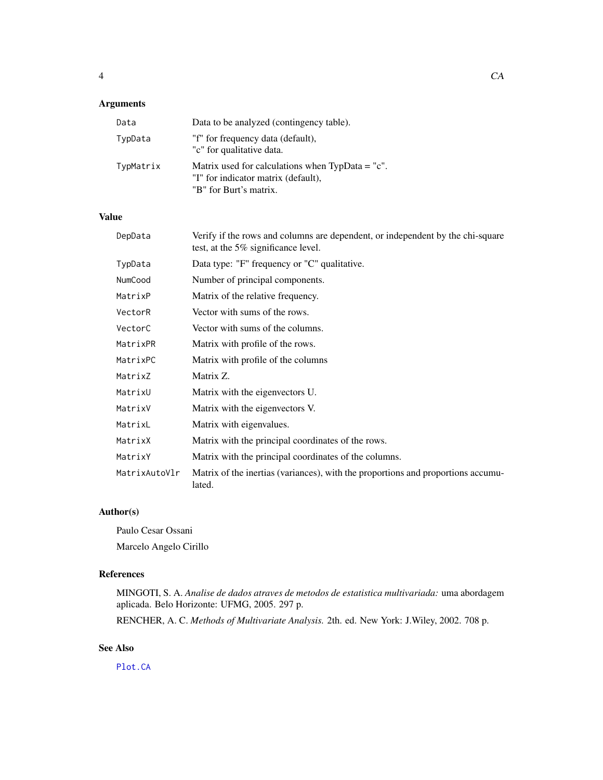# <span id="page-3-0"></span>Arguments

| Data      | Data to be analyzed (contingency table).                                                                            |
|-----------|---------------------------------------------------------------------------------------------------------------------|
| TypData   | "f" for frequency data (default),<br>"c" for qualitative data.                                                      |
| TypMatrix | Matrix used for calculations when $TypData = "c".$<br>"I" for indicator matrix (default),<br>"B" for Burt's matrix. |

# Value

| DepData       | Verify if the rows and columns are dependent, or independent by the chi-square<br>test, at the 5% significance level. |
|---------------|-----------------------------------------------------------------------------------------------------------------------|
| TypData       | Data type: "F" frequency or "C" qualitative.                                                                          |
| NumCood       | Number of principal components.                                                                                       |
| MatrixP       | Matrix of the relative frequency.                                                                                     |
| VectorR       | Vector with sums of the rows.                                                                                         |
| VectorC       | Vector with sums of the columns.                                                                                      |
| MatrixPR      | Matrix with profile of the rows.                                                                                      |
| MatrixPC      | Matrix with profile of the columns                                                                                    |
| MatrixZ       | Matrix Z.                                                                                                             |
| MatrixU       | Matrix with the eigenvectors U.                                                                                       |
| MatrixV       | Matrix with the eigenvectors V.                                                                                       |
| MatrixL       | Matrix with eigenvalues.                                                                                              |
| MatrixX       | Matrix with the principal coordinates of the rows.                                                                    |
| MatrixY       | Matrix with the principal coordinates of the columns.                                                                 |
| MatrixAutoVlr | Matrix of the inertias (variances), with the proportions and proportions accumu-<br>lated.                            |

# Author(s)

Paulo Cesar Ossani Marcelo Angelo Cirillo

# References

MINGOTI, S. A. *Analise de dados atraves de metodos de estatistica multivariada:* uma abordagem aplicada. Belo Horizonte: UFMG, 2005. 297 p.

RENCHER, A. C. *Methods of Multivariate Analysis.* 2th. ed. New York: J.Wiley, 2002. 708 p.

# See Also

[Plot.CA](#page-30-1)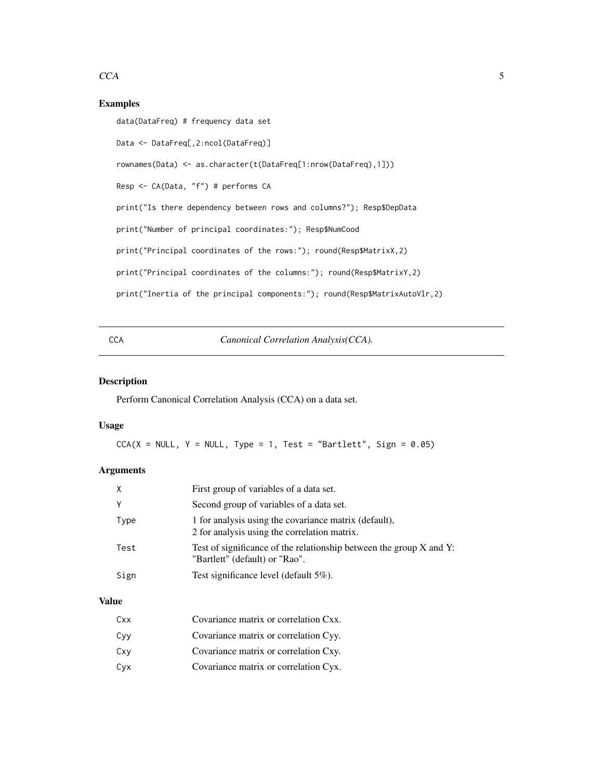# <span id="page-4-0"></span> $CCA$  5

# Examples

```
data(DataFreq) # frequency data set
Data <- DataFreq[,2:ncol(DataFreq)]
rownames(Data) <- as.character(t(DataFreq[1:nrow(DataFreq),1]))
Resp <- CA(Data, "f") # performs CA
print("Is there dependency between rows and columns?"); Resp$DepData
print("Number of principal coordinates:"); Resp$NumCood
print("Principal coordinates of the rows:"); round(Resp$MatrixX,2)
print("Principal coordinates of the columns:"); round(Resp$MatrixY,2)
print("Inertia of the principal components:"); round(Resp$MatrixAutoVlr,2)
```
#### <span id="page-4-1"></span>CCA *Canonical Correlation Analysis(CCA).*

# Description

Perform Canonical Correlation Analysis (CCA) on a data set.

#### Usage

 $CCA(X = NULL, Y = NULL, Type = 1, Test = "Bartlett", Sign = 0.05)$ 

## Arguments

| X    | First group of variables of a data set.                                                               |
|------|-------------------------------------------------------------------------------------------------------|
|      | Second group of variables of a data set.                                                              |
| Type | 1 for analysis using the covariance matrix (default),<br>2 for analysis using the correlation matrix. |
| Test | Test of significance of the relationship between the group X and Y:<br>"Bartlett" (default) or "Rao". |
| Sign | Test significance level (default $5\%$ ).                                                             |
|      |                                                                                                       |

#### Value

| Cxx | Covariance matrix or correlation Cxx. |
|-----|---------------------------------------|
| Cvv | Covariance matrix or correlation Cyy. |
| Cxv | Covariance matrix or correlation Cxy. |
| Сух | Covariance matrix or correlation Cyx. |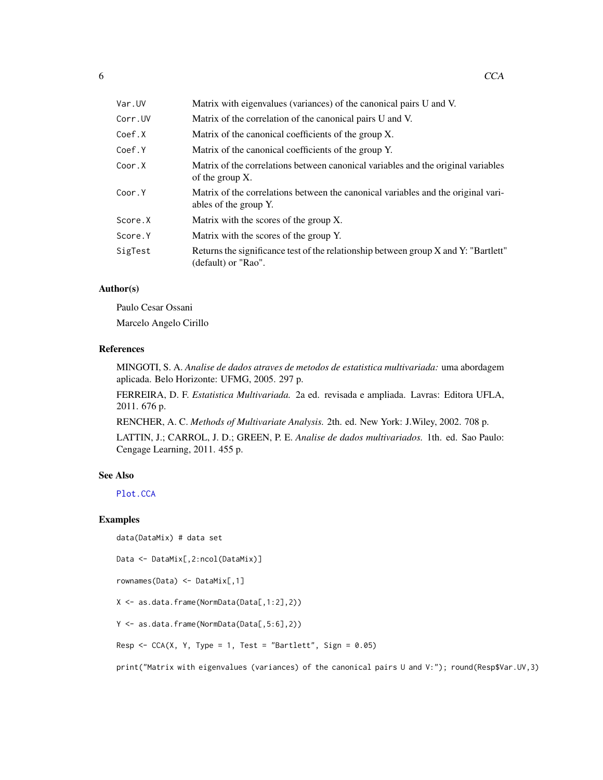<span id="page-5-0"></span>

| Var.UV  | Matrix with eigenvalues (variances) of the canonical pairs U and V.                                        |
|---------|------------------------------------------------------------------------------------------------------------|
| Corr.UV | Matrix of the correlation of the canonical pairs U and V.                                                  |
| Coef.X  | Matrix of the canonical coefficients of the group X.                                                       |
| Coef.Y  | Matrix of the canonical coefficients of the group Y.                                                       |
| Coor.X  | Matrix of the correlations between canonical variables and the original variables<br>of the group $X$ .    |
| Coor.Y  | Matrix of the correlations between the canonical variables and the original vari-<br>ables of the group Y. |
| Score.X | Matrix with the scores of the group X.                                                                     |
| Score.Y | Matrix with the scores of the group Y.                                                                     |
| SigTest | Returns the significance test of the relationship between group X and Y: "Bartlett"<br>(default) or "Rao". |

#### Author(s)

Paulo Cesar Ossani Marcelo Angelo Cirillo

#### References

MINGOTI, S. A. *Analise de dados atraves de metodos de estatistica multivariada:* uma abordagem aplicada. Belo Horizonte: UFMG, 2005. 297 p.

FERREIRA, D. F. *Estatistica Multivariada.* 2a ed. revisada e ampliada. Lavras: Editora UFLA, 2011. 676 p.

RENCHER, A. C. *Methods of Multivariate Analysis.* 2th. ed. New York: J.Wiley, 2002. 708 p.

LATTIN, J.; CARROL, J. D.; GREEN, P. E. *Analise de dados multivariados.* 1th. ed. Sao Paulo: Cengage Learning, 2011. 455 p.

#### See Also

[Plot.CCA](#page-32-1)

# Examples

```
data(DataMix) # data set
```
Data <- DataMix[,2:ncol(DataMix)]

rownames(Data) <- DataMix[,1]

X <- as.data.frame(NormData(Data[,1:2],2))

Y <- as.data.frame(NormData(Data[,5:6],2))

Resp  $\leq$  CCA(X, Y, Type = 1, Test = "Bartlett", Sign = 0.05)

print("Matrix with eigenvalues (variances) of the canonical pairs U and V:"); round(Resp\$Var.UV,3)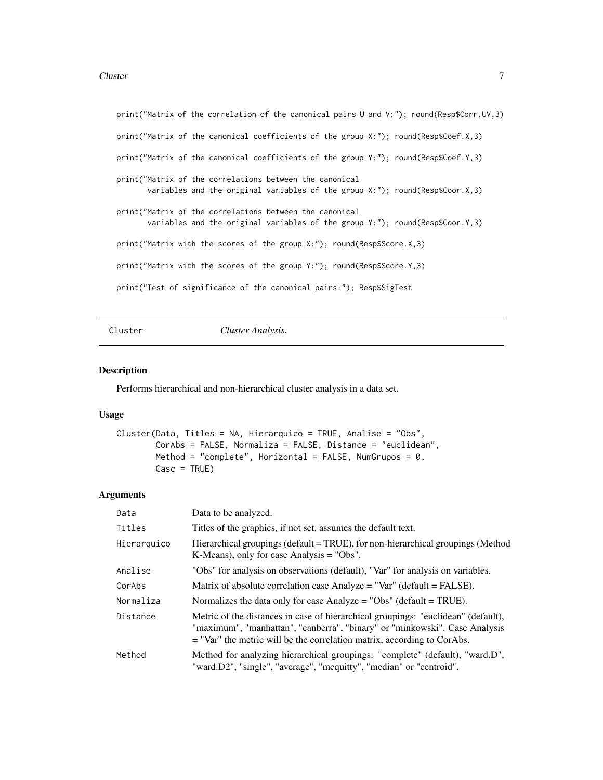#### <span id="page-6-0"></span>Cluster 7 and 2008 and 2008 and 2008 and 2008 and 2008 and 2008 and 2008 and 2008 and 2008 and 2008 and 2008 and 2008 and 2008 and 2008 and 2008 and 2008 and 2008 and 2008 and 2008 and 2008 and 2008 and 2008 and 2008 and 2

```
print("Matrix of the correlation of the canonical pairs U and V:"); round(Resp$Corr.UV,3)
print("Matrix of the canonical coefficients of the group X:"); round(Resp$Coef.X,3)
print("Matrix of the canonical coefficients of the group Y:"); round(Resp$Coef.Y,3)
print("Matrix of the correlations between the canonical
      variables and the original variables of the group X:"); round(Resp$Coor.X,3)
print("Matrix of the correlations between the canonical
      variables and the original variables of the group Y:"); round(Resp$Coor.Y,3)
print("Matrix with the scores of the group X:"); round(Resp$Score.X,3)
print("Matrix with the scores of the group Y:"); round(Resp$Score.Y,3)
print("Test of significance of the canonical pairs:"); Resp$SigTest
```
Cluster *Cluster Analysis.*

#### Description

Performs hierarchical and non-hierarchical cluster analysis in a data set.

#### Usage

```
Cluster(Data, Titles = NA, Hierarquico = TRUE, Analise = "Obs",
        CorAbs = FALSE, Normaliza = FALSE, Distance = "euclidean",
        Method = "complete", Horizontal = FALSE, NumGrupos = \theta,
        Casc = TRUE)
```
#### Arguments

| Data        | Data to be analyzed.                                                                                                                                                                                                                         |
|-------------|----------------------------------------------------------------------------------------------------------------------------------------------------------------------------------------------------------------------------------------------|
| Titles      | Titles of the graphics, if not set, assumes the default text.                                                                                                                                                                                |
| Hierarquico | Hierarchical groupings (default = TRUE), for non-hierarchical groupings (Method<br>K-Means), only for case Analysis $=$ "Obs".                                                                                                               |
| Analise     | "Obs" for analysis on observations (default), "Var" for analysis on variables.                                                                                                                                                               |
| CorAbs      | Matrix of absolute correlation case Analyze = "Var" (default = FALSE).                                                                                                                                                                       |
| Normaliza   | Normalizes the data only for case Analyze = "Obs" (default = $TRUE$ ).                                                                                                                                                                       |
| Distance    | Metric of the distances in case of hierarchical groupings: "euclidean" (default),<br>"maximum", "manhattan", "canberra", "binary" or "minkowski". Case Analysis<br>$=$ "Var" the metric will be the correlation matrix, according to CorAbs. |
| Method      | Method for analyzing hierarchical groupings: "complete" (default), "ward.D",<br>"ward.D2", "single", "average", "mcquitty", "median" or "centroid".                                                                                          |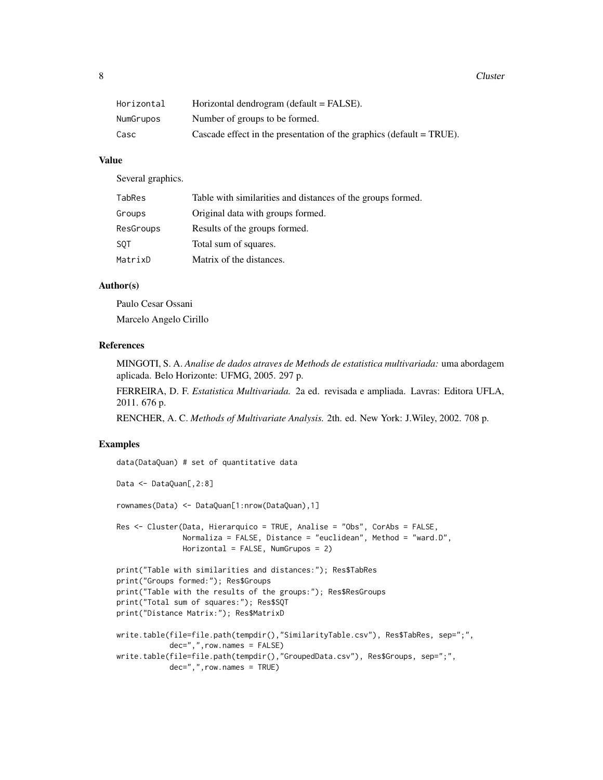8 and 2012 and 2012 and 2012 and 2012 and 2012 and 2012 and 2012 and 2012 and 2012 and 2012 and 2012 and 2012 and 2012 and 2012 and 2012 and 2012 and 2012 and 2012 and 2012 and 2012 and 2012 and 2012 and 2012 and 2012 and

| Horizontal | Horizontal dendrogram (default = FALSE).                               |
|------------|------------------------------------------------------------------------|
| NumGrupos  | Number of groups to be formed.                                         |
| Casc       | Cascade effect in the presentation of the graphics (default $=$ TRUE). |

#### Value

Several graphics.

| TabRes     | Table with similarities and distances of the groups formed. |
|------------|-------------------------------------------------------------|
| Groups     | Original data with groups formed.                           |
| ResGroups  | Results of the groups formed.                               |
| <b>SOT</b> | Total sum of squares.                                       |
| MatrixD    | Matrix of the distances.                                    |

#### Author(s)

Paulo Cesar Ossani Marcelo Angelo Cirillo

#### References

MINGOTI, S. A. *Analise de dados atraves de Methods de estatistica multivariada:* uma abordagem aplicada. Belo Horizonte: UFMG, 2005. 297 p.

FERREIRA, D. F. *Estatistica Multivariada.* 2a ed. revisada e ampliada. Lavras: Editora UFLA, 2011. 676 p.

RENCHER, A. C. *Methods of Multivariate Analysis.* 2th. ed. New York: J.Wiley, 2002. 708 p.

# Examples

```
data(DataQuan) # set of quantitative data
Data <- DataQuan[,2:8]
rownames(Data) <- DataQuan[1:nrow(DataQuan),1]
Res <- Cluster(Data, Hierarquico = TRUE, Analise = "Obs", CorAbs = FALSE,
              Normaliza = FALSE, Distance = "euclidean", Method = "ward.D",
              Horizontal = FALSE, NumGrupos = 2)
print("Table with similarities and distances:"); Res$TabRes
print("Groups formed:"); Res$Groups
print("Table with the results of the groups:"); Res$ResGroups
print("Total sum of squares:"); Res$SQT
print("Distance Matrix:"); Res$MatrixD
write.table(file=file.path(tempdir(),"SimilarityTable.csv"), Res$TabRes, sep=";",
           dec=",",row.names = FALSE)
write.table(file=file.path(tempdir(),"GroupedData.csv"), Res$Groups, sep=";",
           dec=",",row.names = TRUE)
```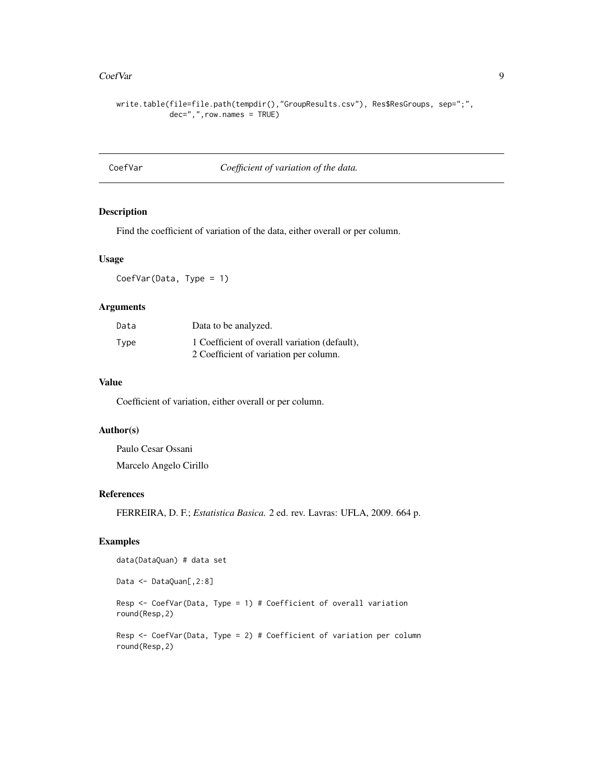#### <span id="page-8-0"></span>CoefVar 9

```
write.table(file=file.path(tempdir(),"GroupResults.csv"), Res$ResGroups, sep=";",
            dec=",",row.names = TRUE)
```
# CoefVar *Coefficient of variation of the data.*

# Description

Find the coefficient of variation of the data, either overall or per column.

# Usage

CoefVar(Data, Type = 1)

#### Arguments

| Data | Data to be analyzed.                          |
|------|-----------------------------------------------|
| Type | 1 Coefficient of overall variation (default). |
|      | 2 Coefficient of variation per column.        |

#### Value

Coefficient of variation, either overall or per column.

#### Author(s)

```
Paulo Cesar Ossani
Marcelo Angelo Cirillo
```
### References

FERREIRA, D. F.; *Estatistica Basica.* 2 ed. rev. Lavras: UFLA, 2009. 664 p.

# Examples

data(DataQuan) # data set

Data <- DataQuan[,2:8]

Resp <- CoefVar(Data, Type = 1) # Coefficient of overall variation round(Resp,2)

Resp <- CoefVar(Data, Type = 2) # Coefficient of variation per column round(Resp,2)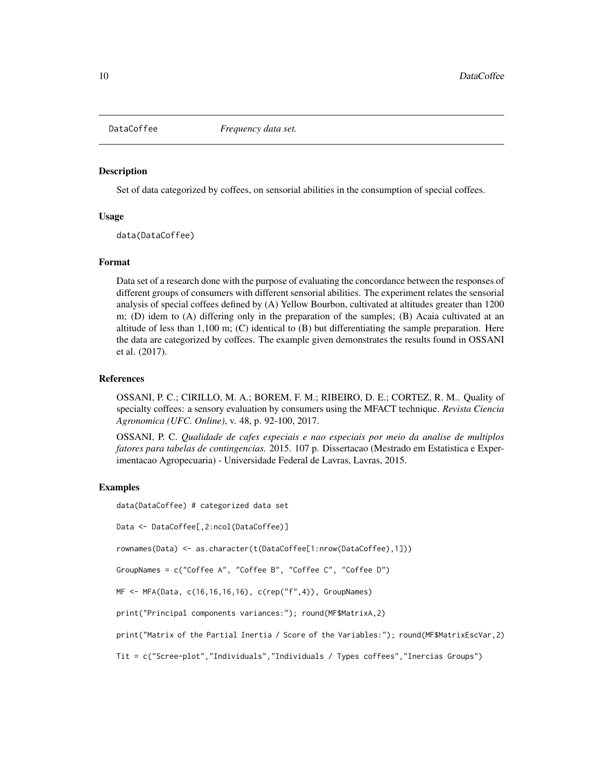<span id="page-9-0"></span>

#### Description

Set of data categorized by coffees, on sensorial abilities in the consumption of special coffees.

#### Usage

data(DataCoffee)

#### Format

Data set of a research done with the purpose of evaluating the concordance between the responses of different groups of consumers with different sensorial abilities. The experiment relates the sensorial analysis of special coffees defined by (A) Yellow Bourbon, cultivated at altitudes greater than 1200 m; (D) idem to (A) differing only in the preparation of the samples; (B) Acaia cultivated at an altitude of less than 1,100 m; (C) identical to (B) but differentiating the sample preparation. Here the data are categorized by coffees. The example given demonstrates the results found in OSSANI et al. (2017).

#### References

OSSANI, P. C.; CIRILLO, M. A.; BOREM, F. M.; RIBEIRO, D. E.; CORTEZ, R. M.. Quality of specialty coffees: a sensory evaluation by consumers using the MFACT technique. *Revista Ciencia Agronomica (UFC. Online)*, v. 48, p. 92-100, 2017.

OSSANI, P. C. *Qualidade de cafes especiais e nao especiais por meio da analise de multiplos fatores para tabelas de contingencias.* 2015. 107 p. Dissertacao (Mestrado em Estatistica e Experimentacao Agropecuaria) - Universidade Federal de Lavras, Lavras, 2015.

#### Examples

data(DataCoffee) # categorized data set

Data <- DataCoffee[,2:ncol(DataCoffee)]

rownames(Data) <- as.character(t(DataCoffee[1:nrow(DataCoffee),1]))

GroupNames = c("Coffee A", "Coffee B", "Coffee C", "Coffee D")

MF <- MFA(Data, c(16,16,16,16), c(rep("f",4)), GroupNames)

print("Principal components variances:"); round(MF\$MatrixA,2)

print("Matrix of the Partial Inertia / Score of the Variables:"); round(MF\$MatrixEscVar,2)

Tit = c("Scree-plot","Individuals","Individuals / Types coffees","Inercias Groups")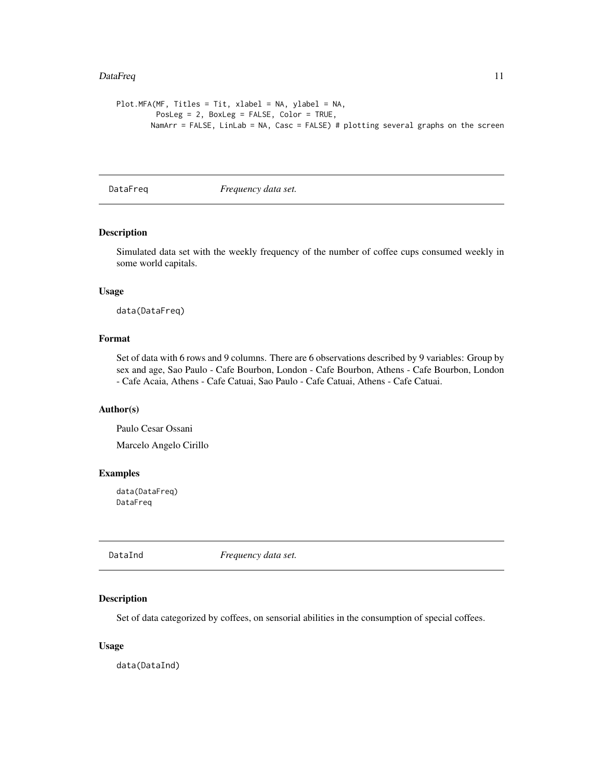#### <span id="page-10-0"></span>DataFreq 11

```
Plot.MFA(MF, Titles = Tit, xlabel = NA, ylabel = NA,
         PosLeg = 2, BoxLeg = FALSE, Color = TRUE,
       NamArr = FALSE, LinLab = NA, Casc = FALSE) # plotting several graphs on the screen
```
DataFreq *Frequency data set.* 

# Description

Simulated data set with the weekly frequency of the number of coffee cups consumed weekly in some world capitals.

#### Usage

data(DataFreq)

# Format

Set of data with 6 rows and 9 columns. There are 6 observations described by 9 variables: Group by sex and age, Sao Paulo - Cafe Bourbon, London - Cafe Bourbon, Athens - Cafe Bourbon, London - Cafe Acaia, Athens - Cafe Catuai, Sao Paulo - Cafe Catuai, Athens - Cafe Catuai.

#### Author(s)

Paulo Cesar Ossani Marcelo Angelo Cirillo

#### Examples

data(DataFreq) DataFreq

DataInd *Frequency data set.*

#### Description

Set of data categorized by coffees, on sensorial abilities in the consumption of special coffees.

#### Usage

data(DataInd)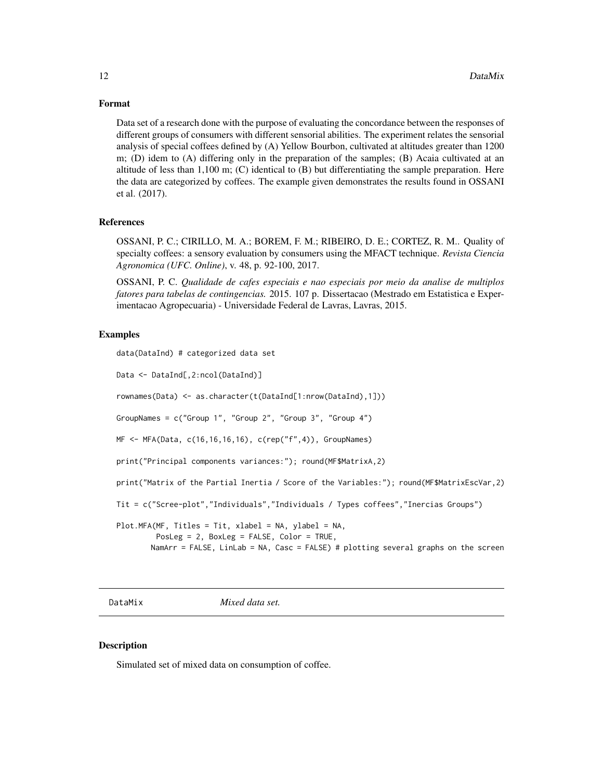#### <span id="page-11-0"></span>Format

Data set of a research done with the purpose of evaluating the concordance between the responses of different groups of consumers with different sensorial abilities. The experiment relates the sensorial analysis of special coffees defined by (A) Yellow Bourbon, cultivated at altitudes greater than 1200 m; (D) idem to (A) differing only in the preparation of the samples; (B) Acaia cultivated at an altitude of less than 1,100 m; (C) identical to (B) but differentiating the sample preparation. Here the data are categorized by coffees. The example given demonstrates the results found in OSSANI et al. (2017).

# References

OSSANI, P. C.; CIRILLO, M. A.; BOREM, F. M.; RIBEIRO, D. E.; CORTEZ, R. M.. Quality of specialty coffees: a sensory evaluation by consumers using the MFACT technique. *Revista Ciencia Agronomica (UFC. Online)*, v. 48, p. 92-100, 2017.

OSSANI, P. C. *Qualidade de cafes especiais e nao especiais por meio da analise de multiplos fatores para tabelas de contingencias.* 2015. 107 p. Dissertacao (Mestrado em Estatistica e Experimentacao Agropecuaria) - Universidade Federal de Lavras, Lavras, 2015.

#### Examples

```
data(DataInd) # categorized data set
Data <- DataInd[,2:ncol(DataInd)]
rownames(Data) <- as.character(t(DataInd[1:nrow(DataInd),1]))
GroupNames = c("Group 1", "Group 2", "Group 3", "Group 4")
MF <- MFA(Data, c(16,16,16,16), c(rep("f",4)), GroupNames)
print("Principal components variances:"); round(MF$MatrixA,2)
print("Matrix of the Partial Inertia / Score of the Variables:"); round(MF$MatrixEscVar,2)
Tit = c("Scree-plot","Individuals","Individuals / Types coffees","Inercias Groups")
Plot.MFA(MF, Titles = Tit, xlabel = NA, ylabel = NA,
         PosLeg = 2, BoxLeg = FALSE, Color = TRUE,
        NamArr = FALSE, LinLab = NA, Casc = FALSE) # plotting several graphs on the screen
```
DataMix *Mixed data set.*

# Description

Simulated set of mixed data on consumption of coffee.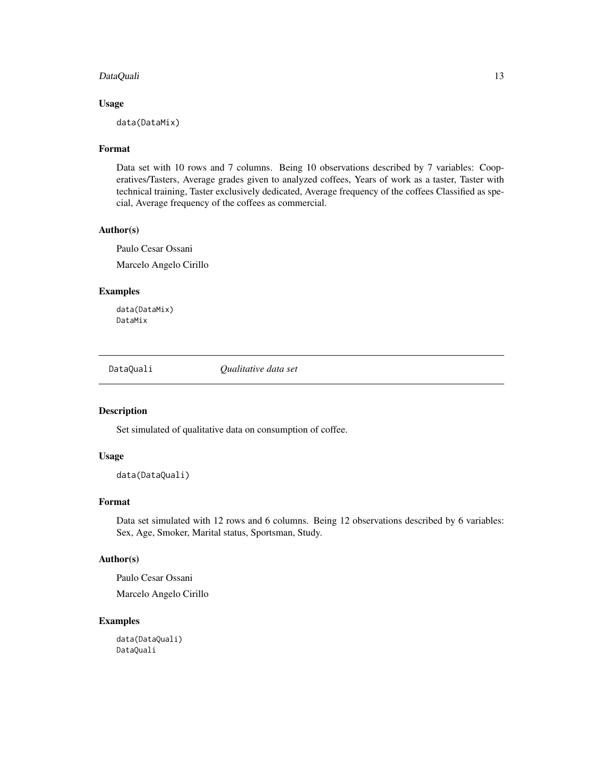# <span id="page-12-0"></span>DataQuali 13

# Usage

data(DataMix)

# Format

Data set with 10 rows and 7 columns. Being 10 observations described by 7 variables: Cooperatives/Tasters, Average grades given to analyzed coffees, Years of work as a taster, Taster with technical training, Taster exclusively dedicated, Average frequency of the coffees Classified as special, Average frequency of the coffees as commercial.

#### Author(s)

Paulo Cesar Ossani Marcelo Angelo Cirillo

# Examples

data(DataMix) DataMix

DataQuali *Qualitative data set*

# Description

Set simulated of qualitative data on consumption of coffee.

# Usage

data(DataQuali)

#### Format

Data set simulated with 12 rows and 6 columns. Being 12 observations described by 6 variables: Sex, Age, Smoker, Marital status, Sportsman, Study.

# Author(s)

Paulo Cesar Ossani

Marcelo Angelo Cirillo

#### Examples

data(DataQuali) DataQuali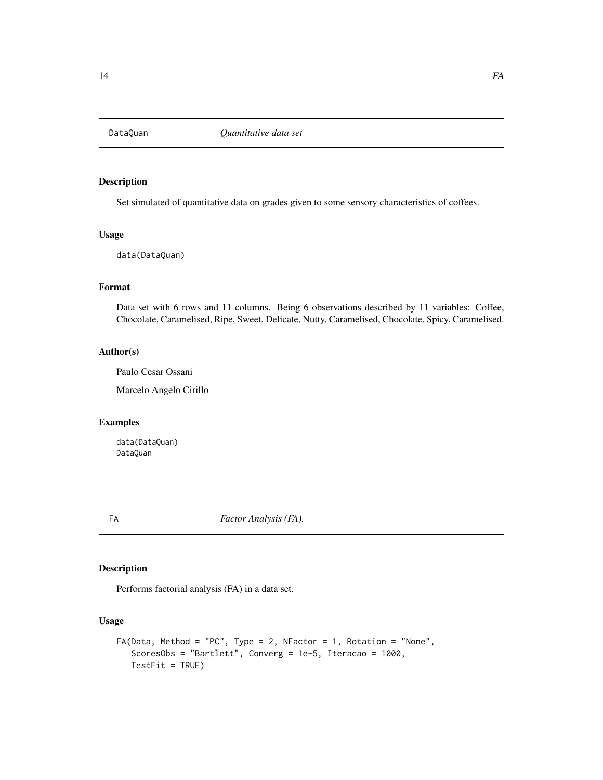<span id="page-13-0"></span>

# Description

Set simulated of quantitative data on grades given to some sensory characteristics of coffees.

#### Usage

data(DataQuan)

# Format

Data set with 6 rows and 11 columns. Being 6 observations described by 11 variables: Coffee, Chocolate, Caramelised, Ripe, Sweet, Delicate, Nutty, Caramelised, Chocolate, Spicy, Caramelised.

# Author(s)

Paulo Cesar Ossani

Marcelo Angelo Cirillo

# Examples

data(DataQuan) DataQuan

<span id="page-13-1"></span>FA *Factor Analysis (FA).*

# Description

Performs factorial analysis (FA) in a data set.

#### Usage

```
FA(Data, Method = "PC", Type = 2, NFactor = 1, Rotation = "None",
   ScoresObs = "Bartlett", Converg = 1e-5, Iteracao = 1000,
   TestFit = TRUE)
```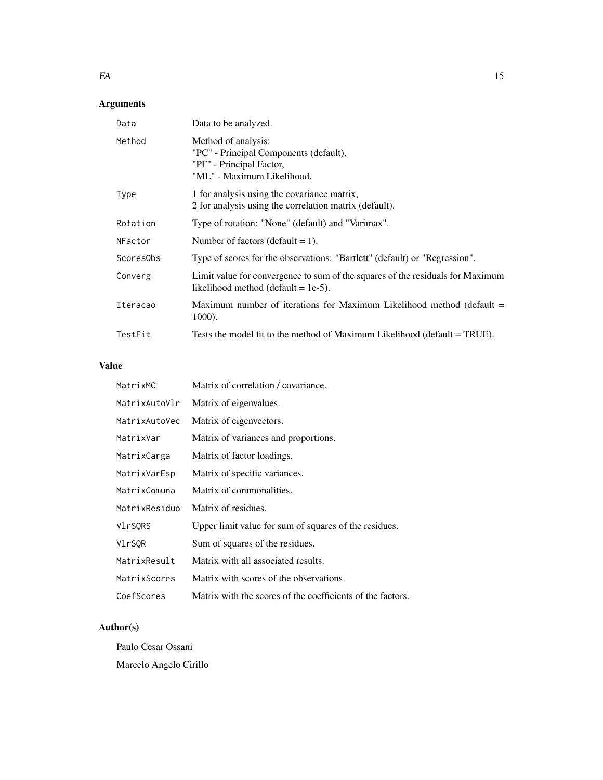# Arguments

| Data      | Data to be analyzed.                                                                                                     |
|-----------|--------------------------------------------------------------------------------------------------------------------------|
| Method    | Method of analysis:<br>"PC" - Principal Components (default),<br>"PF" - Principal Factor,<br>"ML" - Maximum Likelihood.  |
| Type      | 1 for analysis using the covariance matrix,<br>2 for analysis using the correlation matrix (default).                    |
| Rotation  | Type of rotation: "None" (default) and "Varimax".                                                                        |
| NFactor   | Number of factors (default $= 1$ ).                                                                                      |
| ScoresObs | Type of scores for the observations: "Bartlett" (default) or "Regression".                                               |
| Converg   | Limit value for convergence to sum of the squares of the residuals for Maximum<br>likelihood method (default $= 1e-5$ ). |
| Iteracao  | Maximum number of iterations for Maximum Likelihood method (default $=$<br>1000).                                        |
| TestFit   | Tests the model fit to the method of Maximum Likelihood (default = TRUE).                                                |

# Value

| MatrixMC      | Matrix of correlation / covariance.                        |
|---------------|------------------------------------------------------------|
| MatrixAutoVlr | Matrix of eigenvalues.                                     |
| MatrixAutoVec | Matrix of eigenvectors.                                    |
| MatrixVar     | Matrix of variances and proportions.                       |
| MatrixCarga   | Matrix of factor loadings.                                 |
| MatrixVarEsp  | Matrix of specific variances.                              |
| MatrixComuna  | Matrix of commonalities.                                   |
| MatrixResiduo | Matrix of residues.                                        |
| VlrSORS       | Upper limit value for sum of squares of the residues.      |
| VlrSQR        | Sum of squares of the residues.                            |
| MatrixResult  | Matrix with all associated results.                        |
| MatrixScores  | Matrix with scores of the observations.                    |
| CoefScores    | Matrix with the scores of the coefficients of the factors. |

# Author(s)

Paulo Cesar Ossani Marcelo Angelo Cirillo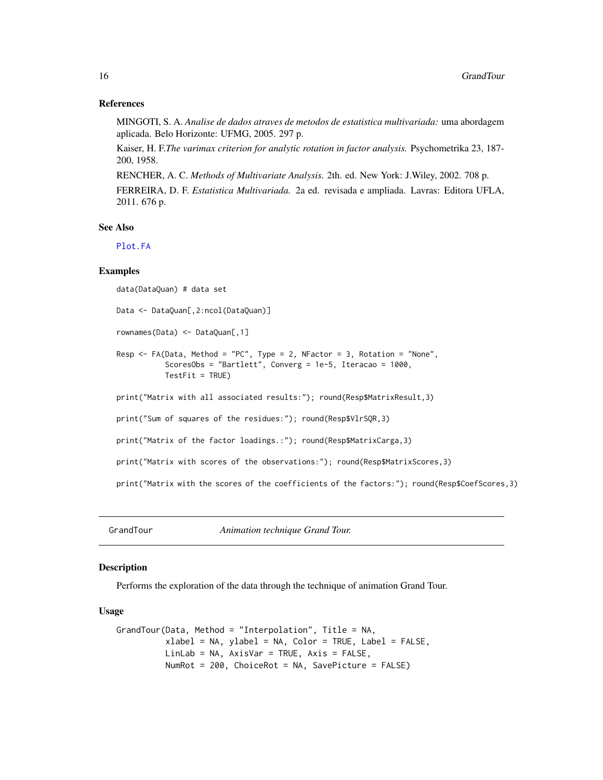#### References

MINGOTI, S. A. *Analise de dados atraves de metodos de estatistica multivariada:* uma abordagem aplicada. Belo Horizonte: UFMG, 2005. 297 p.

Kaiser, H. F.*The varimax criterion for analytic rotation in factor analysis.* Psychometrika 23, 187- 200, 1958.

RENCHER, A. C. *Methods of Multivariate Analysis.* 2th. ed. New York: J.Wiley, 2002. 708 p.

FERREIRA, D. F. *Estatistica Multivariada.* 2a ed. revisada e ampliada. Lavras: Editora UFLA, 2011. 676 p.

# See Also

[Plot.FA](#page-33-1)

#### Examples

data(DataQuan) # data set

Data <- DataQuan[,2:ncol(DataQuan)]

rownames(Data) <- DataQuan[,1]

```
Resp <- FA(Data, Method = "PC", Type = 2, NFactor = 3, Rotation = "None",
          ScoresObs = "Bartlett", Converg = 1e-5, Iteracao = 1000,
          TestFit = TRUE)
```
print("Matrix with all associated results:"); round(Resp\$MatrixResult,3)

print("Sum of squares of the residues:"); round(Resp\$VlrSQR,3)

print("Matrix of the factor loadings.:"); round(Resp\$MatrixCarga,3)

print("Matrix with scores of the observations:"); round(Resp\$MatrixScores,3)

print("Matrix with the scores of the coefficients of the factors:"); round(Resp\$CoefScores,3)

GrandTour *Animation technique Grand Tour.*

#### Description

Performs the exploration of the data through the technique of animation Grand Tour.

#### Usage

```
GrandTour(Data, Method = "Interpolation", Title = NA,
          xlabel = NA, ylabel = NA, Color = TRUE, Label = FALSE,
          LinLab = NA, AxisVar = TRUE, Axis = FALSE,
          NumRot = 200, ChoiceRot = NA, SavePicture = FALSE)
```
<span id="page-15-0"></span>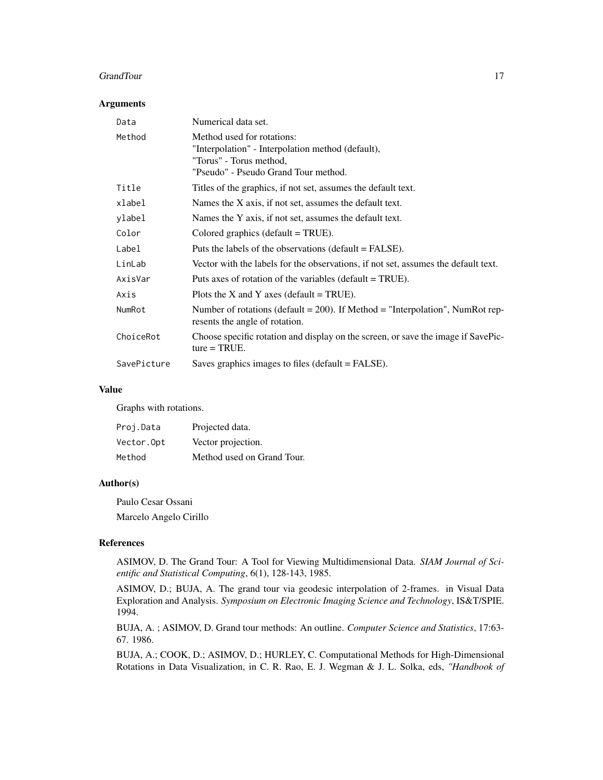#### GrandTour 17

# Arguments

| Data        | Numerical data set.                                                                                                                                |
|-------------|----------------------------------------------------------------------------------------------------------------------------------------------------|
| Method      | Method used for rotations:<br>"Interpolation" - Interpolation method (default),<br>"Torus" - Torus method,<br>"Pseudo" - Pseudo Grand Tour method. |
| Title       | Titles of the graphics, if not set, assumes the default text.                                                                                      |
| xlabel      | Names the X axis, if not set, assumes the default text.                                                                                            |
| ylabel      | Names the Y axis, if not set, assumes the default text.                                                                                            |
| Color       | Colored graphics (default $=$ TRUE).                                                                                                               |
| Label       | Puts the labels of the observations (default = FALSE).                                                                                             |
| LinLab      | Vector with the labels for the observations, if not set, assumes the default text.                                                                 |
| AxisVar     | Puts axes of rotation of the variables (default $= TRUE$ ).                                                                                        |
| Axis        | Plots the X and Y axes (default = TRUE).                                                                                                           |
| NumRot      | Number of rotations (default $= 200$ ). If Method $=$ "Interpolation", NumRot rep-<br>resents the angle of rotation.                               |
| ChoiceRot   | Choose specific rotation and display on the screen, or save the image if SavePic-<br>$ture = TRUE.$                                                |
| SavePicture | Saves graphics images to files (default = FALSE).                                                                                                  |

#### Value

Graphs with rotations.

| Proj.Data  | Projected data.            |
|------------|----------------------------|
| Vector.Opt | Vector projection.         |
| Method     | Method used on Grand Tour. |

#### Author(s)

Paulo Cesar Ossani Marcelo Angelo Cirillo

#### References

ASIMOV, D. The Grand Tour: A Tool for Viewing Multidimensional Data. *SIAM Journal of Scientific and Statistical Computing*, 6(1), 128-143, 1985.

ASIMOV, D.; BUJA, A. The grand tour via geodesic interpolation of 2-frames. in Visual Data Exploration and Analysis. *Symposium on Electronic Imaging Science and Technology*, IS&T/SPIE. 1994.

BUJA, A. ; ASIMOV, D. Grand tour methods: An outline. *Computer Science and Statistics*, 17:63- 67. 1986.

BUJA, A.; COOK, D.; ASIMOV, D.; HURLEY, C. Computational Methods for High-Dimensional Rotations in Data Visualization, in C. R. Rao, E. J. Wegman & J. L. Solka, eds, *"Handbook of*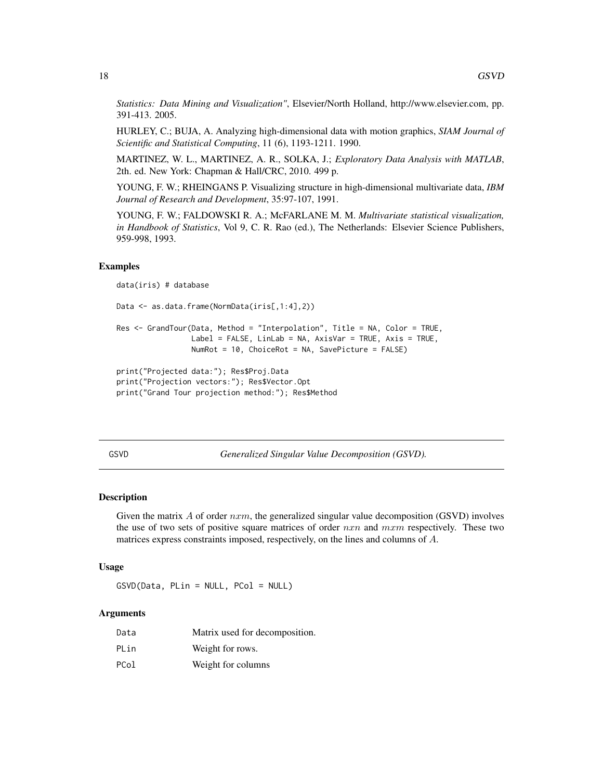*Statistics: Data Mining and Visualization"*, Elsevier/North Holland, http://www.elsevier.com, pp. 391-413. 2005.

HURLEY, C.; BUJA, A. Analyzing high-dimensional data with motion graphics, *SIAM Journal of Scientific and Statistical Computing*, 11 (6), 1193-1211. 1990.

MARTINEZ, W. L., MARTINEZ, A. R., SOLKA, J.; *Exploratory Data Analysis with MATLAB*, 2th. ed. New York: Chapman & Hall/CRC, 2010. 499 p.

YOUNG, F. W.; RHEINGANS P. Visualizing structure in high-dimensional multivariate data, *IBM Journal of Research and Development*, 35:97-107, 1991.

YOUNG, F. W.; FALDOWSKI R. A.; McFARLANE M. M. *Multivariate statistical visualization, in Handbook of Statistics*, Vol 9, C. R. Rao (ed.), The Netherlands: Elsevier Science Publishers, 959-998, 1993.

#### Examples

```
data(iris) # database
Data <- as.data.frame(NormData(iris[,1:4],2))
Res <- GrandTour(Data, Method = "Interpolation", Title = NA, Color = TRUE,
                 Label = FALSE, LinLab = NA, AxisVar = TRUE, Axis = TRUE,
                 NumRot = 10, ChoiceRot = NA, SavePicture = FALSE)
print("Projected data:"); Res$Proj.Data
print("Projection vectors:"); Res$Vector.Opt
print("Grand Tour projection method:"); Res$Method
```
GSVD *Generalized Singular Value Decomposition (GSVD).*

#### **Description**

Given the matrix  $A$  of order  $nxm$ , the generalized singular value decomposition (GSVD) involves the use of two sets of positive square matrices of order  $nxn$  and  $mxm$  respectively. These two matrices express constraints imposed, respectively, on the lines and columns of A.

#### Usage

GSVD(Data, PLin = NULL, PCol = NULL)

#### Arguments

| Data | Matrix used for decomposition. |
|------|--------------------------------|
| PLin | Weight for rows.               |
| PCol | Weight for columns             |

<span id="page-17-0"></span>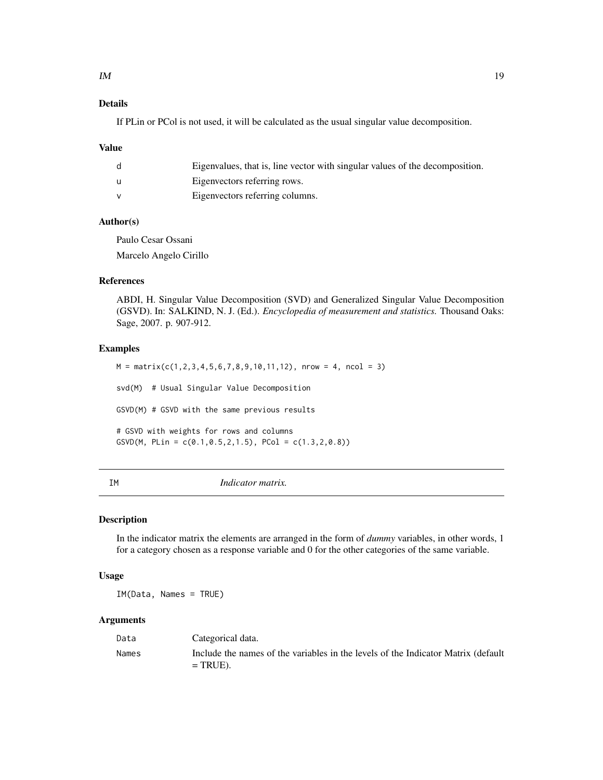# <span id="page-18-0"></span>Details

If PLin or PCol is not used, it will be calculated as the usual singular value decomposition.

#### Value

| Eigenvalues, that is, line vector with singular values of the decomposition. |
|------------------------------------------------------------------------------|
| Eigenvectors referring rows.                                                 |
| Eigenvectors referring columns.                                              |

# Author(s)

Paulo Cesar Ossani Marcelo Angelo Cirillo

# References

ABDI, H. Singular Value Decomposition (SVD) and Generalized Singular Value Decomposition (GSVD). In: SALKIND, N. J. (Ed.). *Encyclopedia of measurement and statistics.* Thousand Oaks: Sage, 2007. p. 907-912.

#### Examples

 $M = matrix(c(1, 2, 3, 4, 5, 6, 7, 8, 9, 10, 11, 12),$  nrow = 4, ncol = 3) svd(M) # Usual Singular Value Decomposition GSVD(M) # GSVD with the same previous results # GSVD with weights for rows and columns GSVD(M, PLin =  $c(0.1, 0.5, 2, 1.5)$ , PCol =  $c(1.3, 2, 0.8)$ )

IM *Indicator matrix.*

#### Description

In the indicator matrix the elements are arranged in the form of *dummy* variables, in other words, 1 for a category chosen as a response variable and 0 for the other categories of the same variable.

#### Usage

IM(Data, Names = TRUE)

#### Arguments

| Data  | Categorical data.                                                                                |
|-------|--------------------------------------------------------------------------------------------------|
| Names | Include the names of the variables in the levels of the Indicator Matrix (default<br>$= TRUE$ ). |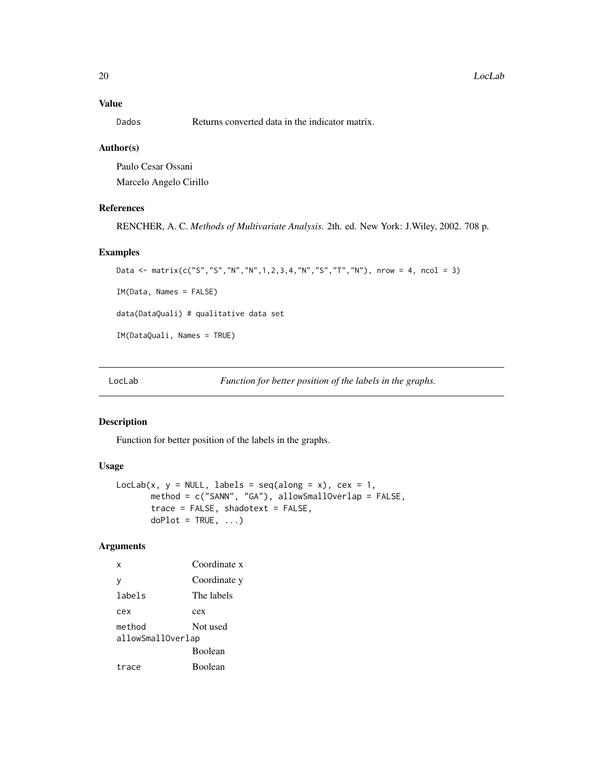### <span id="page-19-0"></span>Value

Dados Returns converted data in the indicator matrix.

#### Author(s)

Paulo Cesar Ossani Marcelo Angelo Cirillo

#### References

RENCHER, A. C. *Methods of Multivariate Analysis.* 2th. ed. New York: J.Wiley, 2002. 708 p.

#### Examples

```
Data <- matrix(c("S","S","N","N",1,2,3,4,"N","S","T","N"), nrow = 4, ncol = 3)
IM(Data, Names = FALSE)
data(DataQuali) # qualitative data set
IM(DataQuali, Names = TRUE)
```
LocLab *Function for better position of the labels in the graphs.*

## Description

Function for better position of the labels in the graphs.

# Usage

```
LocLab(x, y = NULL, labels = seq(along = x), cex = 1,
      method = c("SANN", "GA"), allowSmallOverlap = FALSE,
      trace = FALSE, shadotext = FALSE,
      doPlot = TRUE, ...
```
# Arguments

x Coordinate x y Coordinate y labels The labels cex cex method Not used allowSmallOverlap Boolean trace Boolean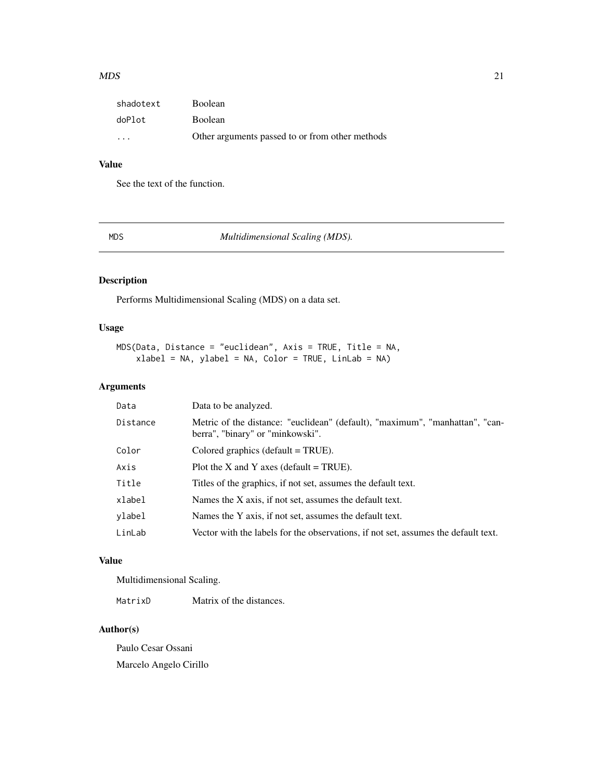#### <span id="page-20-0"></span> $MDS$  21

| shadotext               | <b>Boolean</b>                                  |
|-------------------------|-------------------------------------------------|
| doPlot                  | <b>Boolean</b>                                  |
| $\cdot$ $\cdot$ $\cdot$ | Other arguments passed to or from other methods |

# Value

See the text of the function.

MDS *Multidimensional Scaling (MDS).*

# Description

Performs Multidimensional Scaling (MDS) on a data set.

#### Usage

```
MDS(Data, Distance = "euclidean", Axis = TRUE, Title = NA,
    xlabel = NA, ylabel = NA, Color = TRUE, LinLab = NA
```
# Arguments

| Data     | Data to be analyzed.                                                                                             |
|----------|------------------------------------------------------------------------------------------------------------------|
| Distance | Metric of the distance: "euclidean" (default), "maximum", "manhattan", "can-<br>berra", "binary" or "minkowski". |
| Color    | Colored graphics (default $=$ TRUE).                                                                             |
| Axis     | Plot the X and Y axes (default $=$ TRUE).                                                                        |
| Title    | Titles of the graphics, if not set, assumes the default text.                                                    |
| xlabel   | Names the X axis, if not set, assumes the default text.                                                          |
| vlabel   | Names the Y axis, if not set, assumes the default text.                                                          |
| LinLab   | Vector with the labels for the observations, if not set, assumes the default text.                               |

#### Value

Multidimensional Scaling.

MatrixD Matrix of the distances.

# Author(s)

Paulo Cesar Ossani Marcelo Angelo Cirillo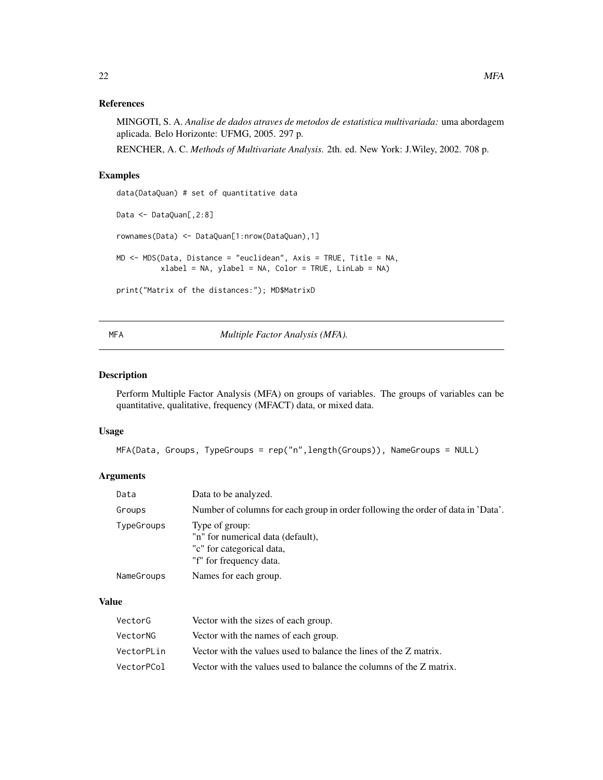# <span id="page-21-0"></span>References

MINGOTI, S. A. *Analise de dados atraves de metodos de estatistica multivariada:* uma abordagem aplicada. Belo Horizonte: UFMG, 2005. 297 p.

RENCHER, A. C. *Methods of Multivariate Analysis.* 2th. ed. New York: J.Wiley, 2002. 708 p.

# Examples

```
data(DataQuan) # set of quantitative data
Data <- DataQuan[,2:8]
rownames(Data) <- DataQuan[1:nrow(DataQuan),1]
MD <- MDS(Data, Distance = "euclidean", Axis = TRUE, Title = NA,
          xlabel = NA, ylabel = NA, Color = TRUE, LinLab = NA)
print("Matrix of the distances:"); MD$MatrixD
```
<span id="page-21-1"></span>MFA *Multiple Factor Analysis (MFA).*

# Description

Perform Multiple Factor Analysis (MFA) on groups of variables. The groups of variables can be quantitative, qualitative, frequency (MFACT) data, or mixed data.

#### Usage

MFA(Data, Groups, TypeGroups = rep("n",length(Groups)), NameGroups = NULL)

# Arguments

| Data       | Data to be analyzed.                                                                                        |
|------------|-------------------------------------------------------------------------------------------------------------|
| Groups     | Number of columns for each group in order following the order of data in 'Data'.                            |
| TypeGroups | Type of group:<br>"n" for numerical data (default),<br>"c" for categorical data,<br>"f" for frequency data. |
| NameGroups | Names for each group.                                                                                       |

#### Value

| VectorG    | Vector with the sizes of each group.                                |
|------------|---------------------------------------------------------------------|
| VectorNG   | Vector with the names of each group.                                |
| VectorPLin | Vector with the values used to balance the lines of the Z matrix.   |
| VectorPCol | Vector with the values used to balance the columns of the Z matrix. |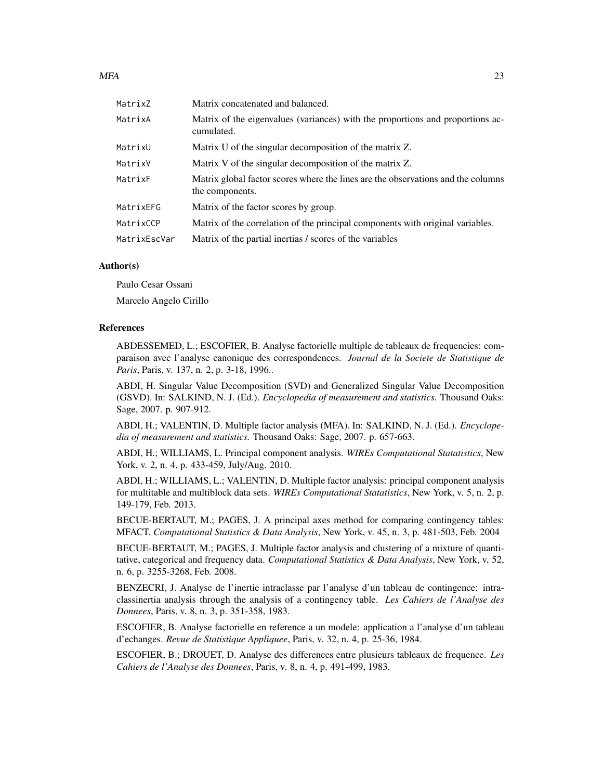| MatrixZ      | Matrix concatenated and balanced.                                                                   |
|--------------|-----------------------------------------------------------------------------------------------------|
| MatrixA      | Matrix of the eigenvalues (variances) with the proportions and proportions ac-<br>cumulated.        |
| MatrixU      | Matrix U of the singular decomposition of the matrix Z.                                             |
| MatrixV      | Matrix V of the singular decomposition of the matrix Z.                                             |
| MatrixF      | Matrix global factor scores where the lines are the observations and the columns<br>the components. |
| MatrixEFG    | Matrix of the factor scores by group.                                                               |
| MatrixCCP    | Matrix of the correlation of the principal components with original variables.                      |
| MatrixEscVar | Matrix of the partial inertias / scores of the variables                                            |

#### Author(s)

Paulo Cesar Ossani

Marcelo Angelo Cirillo

#### References

ABDESSEMED, L.; ESCOFIER, B. Analyse factorielle multiple de tableaux de frequencies: comparaison avec l'analyse canonique des correspondences. *Journal de la Societe de Statistique de Paris*, Paris, v. 137, n. 2, p. 3-18, 1996..

ABDI, H. Singular Value Decomposition (SVD) and Generalized Singular Value Decomposition (GSVD). In: SALKIND, N. J. (Ed.). *Encyclopedia of measurement and statistics.* Thousand Oaks: Sage, 2007. p. 907-912.

ABDI, H.; VALENTIN, D. Multiple factor analysis (MFA). In: SALKIND, N. J. (Ed.). *Encyclopedia of measurement and statistics.* Thousand Oaks: Sage, 2007. p. 657-663.

ABDI, H.; WILLIAMS, L. Principal component analysis. *WIREs Computational Statatistics*, New York, v. 2, n. 4, p. 433-459, July/Aug. 2010.

ABDI, H.; WILLIAMS, L.; VALENTIN, D. Multiple factor analysis: principal component analysis for multitable and multiblock data sets. *WIREs Computational Statatistics*, New York, v. 5, n. 2, p. 149-179, Feb. 2013.

BECUE-BERTAUT, M.; PAGES, J. A principal axes method for comparing contingency tables: MFACT. *Computational Statistics & Data Analysis*, New York, v. 45, n. 3, p. 481-503, Feb. 2004

BECUE-BERTAUT, M.; PAGES, J. Multiple factor analysis and clustering of a mixture of quantitative, categorical and frequency data. *Computational Statistics & Data Analysis*, New York, v. 52, n. 6, p. 3255-3268, Feb. 2008.

BENZECRI, J. Analyse de l'inertie intraclasse par l'analyse d'un tableau de contingence: intraclassinertia analysis through the analysis of a contingency table. *Les Cahiers de l'Analyse des Donnees*, Paris, v. 8, n. 3, p. 351-358, 1983.

ESCOFIER, B. Analyse factorielle en reference a un modele: application a l'analyse d'un tableau d'echanges. *Revue de Statistique Appliquee*, Paris, v. 32, n. 4, p. 25-36, 1984.

ESCOFIER, B.; DROUET, D. Analyse des differences entre plusieurs tableaux de frequence. *Les Cahiers de l'Analyse des Donnees*, Paris, v. 8, n. 4, p. 491-499, 1983.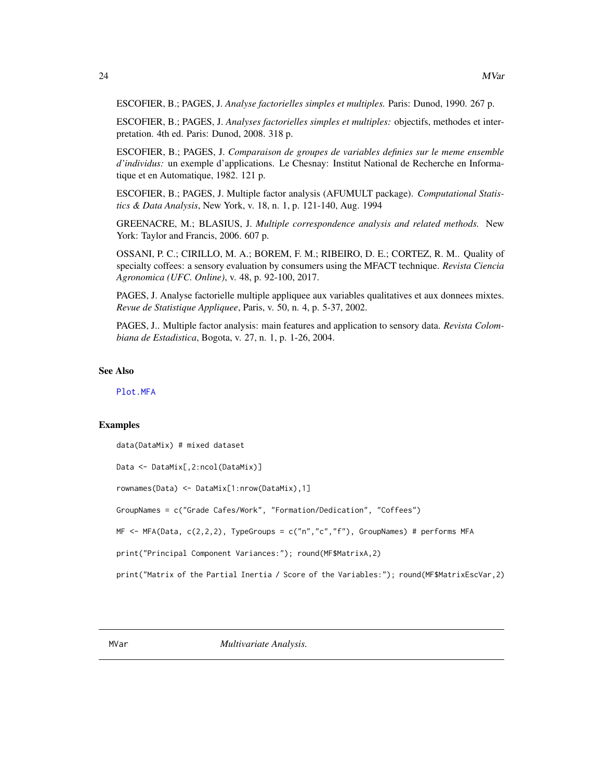<span id="page-23-0"></span>ESCOFIER, B.; PAGES, J. *Analyse factorielles simples et multiples.* Paris: Dunod, 1990. 267 p.

ESCOFIER, B.; PAGES, J. *Analyses factorielles simples et multiples:* objectifs, methodes et interpretation. 4th ed. Paris: Dunod, 2008. 318 p.

ESCOFIER, B.; PAGES, J. *Comparaison de groupes de variables definies sur le meme ensemble* d'individus: un exemple d'applications. Le Chesnay: Institut National de Recherche en Informatique et en Automatique, 1982. 121 p.

ESCOFIER, B.; PAGES, J. Multiple factor analysis (AFUMULT package). *Computational Statistics & Data Analysis*, New York, v. 18, n. 1, p. 121-140, Aug. 1994

GREENACRE, M.; BLASIUS, J. *Multiple correspondence analysis and related methods.* New York: Taylor and Francis, 2006. 607 p.

OSSANI, P. C.; CIRILLO, M. A.; BOREM, F. M.; RIBEIRO, D. E.; CORTEZ, R. M.. Quality of specialty coffees: a sensory evaluation by consumers using the MFACT technique. *Revista Ciencia Agronomica (UFC. Online)*, v. 48, p. 92-100, 2017.

PAGES, J. Analyse factorielle multiple appliquee aux variables qualitatives et aux donnees mixtes. *Revue de Statistique Appliquee*, Paris, v. 50, n. 4, p. 5-37, 2002.

PAGES, J.. Multiple factor analysis: main features and application to sensory data. *Revista Colombiana de Estadistica*, Bogota, v. 27, n. 1, p. 1-26, 2004.

#### See Also

[Plot.MFA](#page-34-1)

#### Examples

```
data(DataMix) # mixed dataset
```

```
Data <- DataMix[,2:ncol(DataMix)]
```

```
rownames(Data) <- DataMix[1:nrow(DataMix),1]
```
GroupNames = c("Grade Cafes/Work", "Formation/Dedication", "Coffees")

```
MF <- MFA(Data, c(2,2,2), TypeGroups = c("n","c","f"), GroupNames) # performs MFA
```
print("Principal Component Variances:"); round(MF\$MatrixA,2)

print("Matrix of the Partial Inertia / Score of the Variables:"); round(MF\$MatrixEscVar,2)

MVar *Multivariate Analysis.*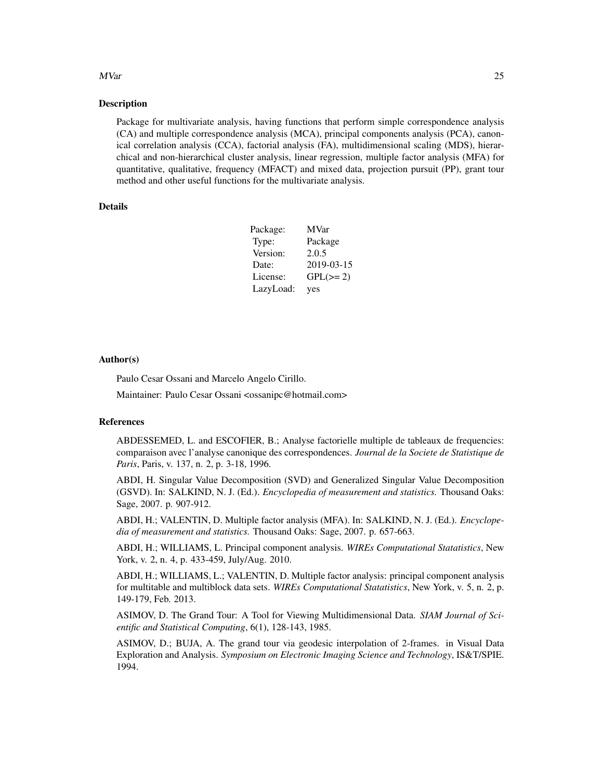#### MVar 25

#### **Description**

Package for multivariate analysis, having functions that perform simple correspondence analysis (CA) and multiple correspondence analysis (MCA), principal components analysis (PCA), canonical correlation analysis (CCA), factorial analysis (FA), multidimensional scaling (MDS), hierarchical and non-hierarchical cluster analysis, linear regression, multiple factor analysis (MFA) for quantitative, qualitative, frequency (MFACT) and mixed data, projection pursuit (PP), grant tour method and other useful functions for the multivariate analysis.

# Details

| Package:  | <b>MVar</b>   |  |
|-----------|---------------|--|
| Type:     | Package       |  |
| Version:  | 2.0.5         |  |
| Date:     | 2019-03-15    |  |
| License:  | $GPL(\geq 2)$ |  |
| LazyLoad: | yes           |  |

#### Author(s)

Paulo Cesar Ossani and Marcelo Angelo Cirillo.

Maintainer: Paulo Cesar Ossani <ossanipc@hotmail.com>

# References

ABDESSEMED, L. and ESCOFIER, B.; Analyse factorielle multiple de tableaux de frequencies: comparaison avec l'analyse canonique des correspondences. *Journal de la Societe de Statistique de Paris*, Paris, v. 137, n. 2, p. 3-18, 1996.

ABDI, H. Singular Value Decomposition (SVD) and Generalized Singular Value Decomposition (GSVD). In: SALKIND, N. J. (Ed.). *Encyclopedia of measurement and statistics.* Thousand Oaks: Sage, 2007. p. 907-912.

ABDI, H.; VALENTIN, D. Multiple factor analysis (MFA). In: SALKIND, N. J. (Ed.). *Encyclopedia of measurement and statistics.* Thousand Oaks: Sage, 2007. p. 657-663.

ABDI, H.; WILLIAMS, L. Principal component analysis. *WIREs Computational Statatistics*, New York, v. 2, n. 4, p. 433-459, July/Aug. 2010.

ABDI, H.; WILLIAMS, L.; VALENTIN, D. Multiple factor analysis: principal component analysis for multitable and multiblock data sets. *WIREs Computational Statatistics*, New York, v. 5, n. 2, p. 149-179, Feb. 2013.

ASIMOV, D. The Grand Tour: A Tool for Viewing Multidimensional Data. *SIAM Journal of Scientific and Statistical Computing*, 6(1), 128-143, 1985.

ASIMOV, D.; BUJA, A. The grand tour via geodesic interpolation of 2-frames. in Visual Data Exploration and Analysis. *Symposium on Electronic Imaging Science and Technology*, IS&T/SPIE. 1994.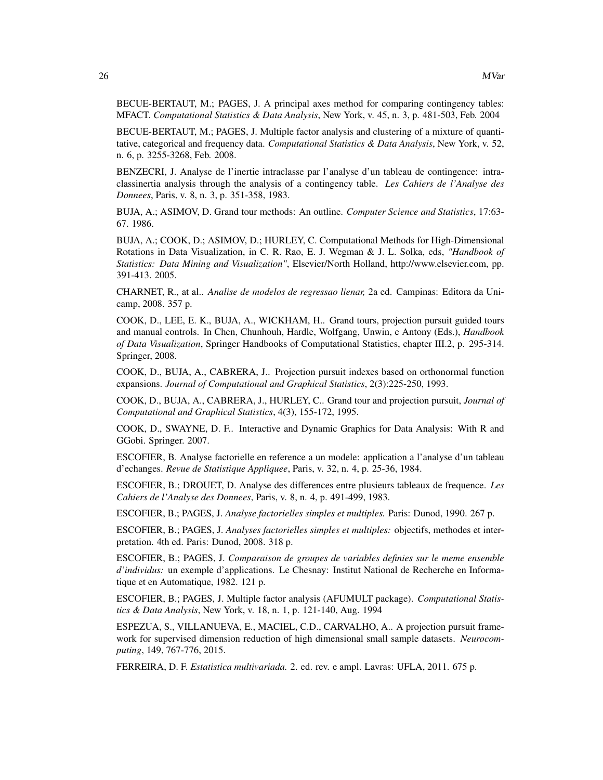BECUE-BERTAUT, M.; PAGES, J. A principal axes method for comparing contingency tables: MFACT. *Computational Statistics & Data Analysis*, New York, v. 45, n. 3, p. 481-503, Feb. 2004

BECUE-BERTAUT, M.; PAGES, J. Multiple factor analysis and clustering of a mixture of quantitative, categorical and frequency data. *Computational Statistics & Data Analysis*, New York, v. 52, n. 6, p. 3255-3268, Feb. 2008.

BENZECRI, J. Analyse de l'inertie intraclasse par l'analyse d'un tableau de contingence: intraclassinertia analysis through the analysis of a contingency table. *Les Cahiers de l'Analyse des Donnees*, Paris, v. 8, n. 3, p. 351-358, 1983.

BUJA, A.; ASIMOV, D. Grand tour methods: An outline. *Computer Science and Statistics*, 17:63- 67. 1986.

BUJA, A.; COOK, D.; ASIMOV, D.; HURLEY, C. Computational Methods for High-Dimensional Rotations in Data Visualization, in C. R. Rao, E. J. Wegman & J. L. Solka, eds, *"Handbook of Statistics: Data Mining and Visualization"*, Elsevier/North Holland, http://www.elsevier.com, pp. 391-413. 2005.

CHARNET, R., at al.. *Analise de modelos de regressao lienar,* 2a ed. Campinas: Editora da Unicamp, 2008. 357 p.

COOK, D., LEE, E. K., BUJA, A., WICKHAM, H.. Grand tours, projection pursuit guided tours and manual controls. In Chen, Chunhouh, Hardle, Wolfgang, Unwin, e Antony (Eds.), *Handbook of Data Visualization*, Springer Handbooks of Computational Statistics, chapter III.2, p. 295-314. Springer, 2008.

COOK, D., BUJA, A., CABRERA, J.. Projection pursuit indexes based on orthonormal function expansions. *Journal of Computational and Graphical Statistics*, 2(3):225-250, 1993.

COOK, D., BUJA, A., CABRERA, J., HURLEY, C.. Grand tour and projection pursuit, *Journal of Computational and Graphical Statistics*, 4(3), 155-172, 1995.

COOK, D., SWAYNE, D. F.. Interactive and Dynamic Graphics for Data Analysis: With R and GGobi. Springer. 2007.

ESCOFIER, B. Analyse factorielle en reference a un modele: application a l'analyse d'un tableau d'echanges. *Revue de Statistique Appliquee*, Paris, v. 32, n. 4, p. 25-36, 1984.

ESCOFIER, B.; DROUET, D. Analyse des differences entre plusieurs tableaux de frequence. *Les Cahiers de l'Analyse des Donnees*, Paris, v. 8, n. 4, p. 491-499, 1983.

ESCOFIER, B.; PAGES, J. *Analyse factorielles simples et multiples.* Paris: Dunod, 1990. 267 p.

ESCOFIER, B.; PAGES, J. *Analyses factorielles simples et multiples:* objectifs, methodes et interpretation. 4th ed. Paris: Dunod, 2008. 318 p.

ESCOFIER, B.; PAGES, J. *Comparaison de groupes de variables definies sur le meme ensemble d'individus:* un exemple d'applications. Le Chesnay: Institut National de Recherche en Informatique et en Automatique, 1982. 121 p.

ESCOFIER, B.; PAGES, J. Multiple factor analysis (AFUMULT package). *Computational Statistics & Data Analysis*, New York, v. 18, n. 1, p. 121-140, Aug. 1994

ESPEZUA, S., VILLANUEVA, E., MACIEL, C.D., CARVALHO, A.. A projection pursuit framework for supervised dimension reduction of high dimensional small sample datasets. *Neurocomputing*, 149, 767-776, 2015.

FERREIRA, D. F. *Estatistica multivariada.* 2. ed. rev. e ampl. Lavras: UFLA, 2011. 675 p.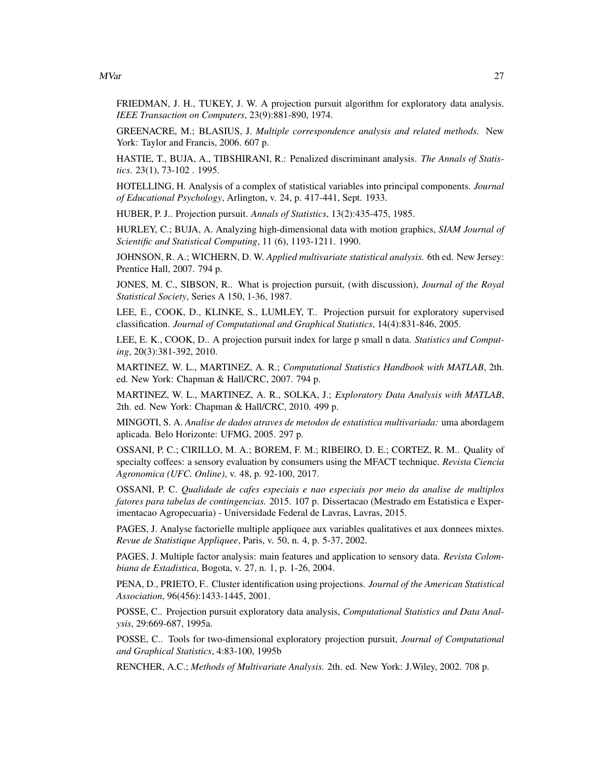MVar 27

FRIEDMAN, J. H., TUKEY, J. W. A projection pursuit algorithm for exploratory data analysis. *IEEE Transaction on Computers*, 23(9):881-890, 1974.

GREENACRE, M.; BLASIUS, J. *Multiple correspondence analysis and related methods.* New York: Taylor and Francis, 2006. 607 p.

HASTIE, T., BUJA, A., TIBSHIRANI, R.: Penalized discriminant analysis. *The Annals of Statistics*. 23(1), 73-102 . 1995.

HOTELLING, H. Analysis of a complex of statistical variables into principal components. *Journal of Educational Psychology*, Arlington, v. 24, p. 417-441, Sept. 1933.

HUBER, P. J.. Projection pursuit. *Annals of Statistics*, 13(2):435-475, 1985.

HURLEY, C.; BUJA, A. Analyzing high-dimensional data with motion graphics, *SIAM Journal of Scientific and Statistical Computing*, 11 (6), 1193-1211. 1990.

JOHNSON, R. A.; WICHERN, D. W. *Applied multivariate statistical analysis.* 6th ed. New Jersey: Prentice Hall, 2007. 794 p.

JONES, M. C., SIBSON, R.. What is projection pursuit, (with discussion), *Journal of the Royal Statistical Society*, Series A 150, 1-36, 1987.

LEE, E., COOK, D., KLINKE, S., LUMLEY, T.. Projection pursuit for exploratory supervised classification. *Journal of Computational and Graphical Statistics*, 14(4):831-846, 2005.

LEE, E. K., COOK, D.. A projection pursuit index for large p small n data. *Statistics and Computing*, 20(3):381-392, 2010.

MARTINEZ, W. L., MARTINEZ, A. R.; *Computational Statistics Handbook with MATLAB*, 2th. ed. New York: Chapman & Hall/CRC, 2007. 794 p.

MARTINEZ, W. L., MARTINEZ, A. R., SOLKA, J.; *Exploratory Data Analysis with MATLAB*, 2th. ed. New York: Chapman & Hall/CRC, 2010. 499 p.

MINGOTI, S. A. *Analise de dados atraves de metodos de estatistica multivariada:* uma abordagem aplicada. Belo Horizonte: UFMG, 2005. 297 p.

OSSANI, P. C.; CIRILLO, M. A.; BOREM, F. M.; RIBEIRO, D. E.; CORTEZ, R. M.. Quality of specialty coffees: a sensory evaluation by consumers using the MFACT technique. *Revista Ciencia Agronomica (UFC. Online)*, v. 48, p. 92-100, 2017.

OSSANI, P. C. *Qualidade de cafes especiais e nao especiais por meio da analise de multiplos fatores para tabelas de contingencias.* 2015. 107 p. Dissertacao (Mestrado em Estatistica e Experimentacao Agropecuaria) - Universidade Federal de Lavras, Lavras, 2015.

PAGES, J. Analyse factorielle multiple appliquee aux variables qualitatives et aux donnees mixtes. *Revue de Statistique Appliquee*, Paris, v. 50, n. 4, p. 5-37, 2002.

PAGES, J. Multiple factor analysis: main features and application to sensory data. *Revista Colombiana de Estadistica*, Bogota, v. 27, n. 1, p. 1-26, 2004.

PENA, D., PRIETO, F.. Cluster identification using projections. *Journal of the American Statistical Association*, 96(456):1433-1445, 2001.

POSSE, C.. Projection pursuit exploratory data analysis, *Computational Statistics and Data Analysis*, 29:669-687, 1995a.

POSSE, C.. Tools for two-dimensional exploratory projection pursuit, *Journal of Computational and Graphical Statistics*, 4:83-100, 1995b

RENCHER, A.C.; *Methods of Multivariate Analysis.* 2th. ed. New York: J.Wiley, 2002. 708 p.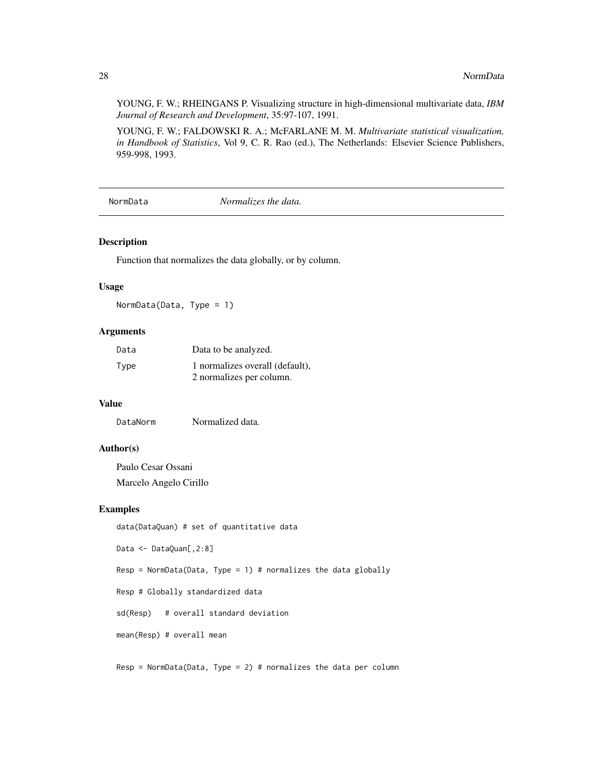<span id="page-27-0"></span>YOUNG, F. W.; RHEINGANS P. Visualizing structure in high-dimensional multivariate data, *IBM Journal of Research and Development*, 35:97-107, 1991.

YOUNG, F. W.; FALDOWSKI R. A.; McFARLANE M. M. *Multivariate statistical visualization, in Handbook of Statistics*, Vol 9, C. R. Rao (ed.), The Netherlands: Elsevier Science Publishers, 959-998, 1993.

NormData *Normalizes the data.*

#### Description

Function that normalizes the data globally, or by column.

#### Usage

NormData(Data, Type = 1)

#### Arguments

| Data | Data to be analyzed.            |
|------|---------------------------------|
| Type | 1 normalizes overall (default), |
|      | 2 normalizes per column.        |

#### Value

DataNorm Normalized data.

#### Author(s)

Paulo Cesar Ossani Marcelo Angelo Cirillo

# Examples

data(DataQuan) # set of quantitative data Data <- DataQuan[,2:8] Resp = NormData(Data, Type = 1) # normalizes the data globally Resp # Globally standardized data sd(Resp) # overall standard deviation mean(Resp) # overall mean

 $Resp = NormData(Data, Type = 2)$  # normalizes the data per column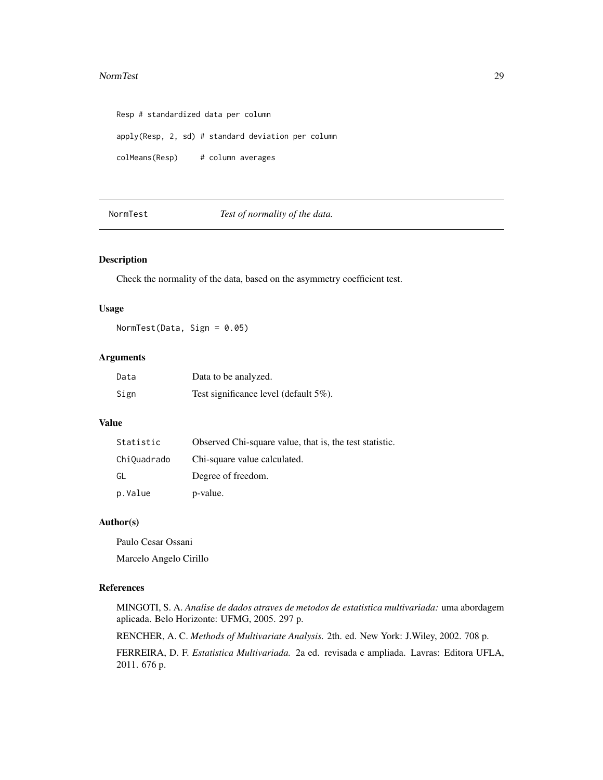#### <span id="page-28-0"></span>NormTest 29

Resp # standardized data per column apply(Resp, 2, sd) # standard deviation per column colMeans(Resp) # column averages

NormTest *Test of normality of the data.*

# Description

Check the normality of the data, based on the asymmetry coefficient test.

#### Usage

NormTest(Data, Sign = 0.05)

# Arguments

| Data | Data to be analyzed.                  |
|------|---------------------------------------|
| Sign | Test significance level (default 5%). |

# Value

| Statistic   | Observed Chi-square value, that is, the test statistic. |
|-------------|---------------------------------------------------------|
| ChiQuadrado | Chi-square value calculated.                            |
| GL          | Degree of freedom.                                      |
| p.Value     | p-value.                                                |

#### Author(s)

Paulo Cesar Ossani Marcelo Angelo Cirillo

#### References

MINGOTI, S. A. *Analise de dados atraves de metodos de estatistica multivariada:* uma abordagem aplicada. Belo Horizonte: UFMG, 2005. 297 p.

RENCHER, A. C. *Methods of Multivariate Analysis.* 2th. ed. New York: J.Wiley, 2002. 708 p.

FERREIRA, D. F. *Estatistica Multivariada.* 2a ed. revisada e ampliada. Lavras: Editora UFLA, 2011. 676 p.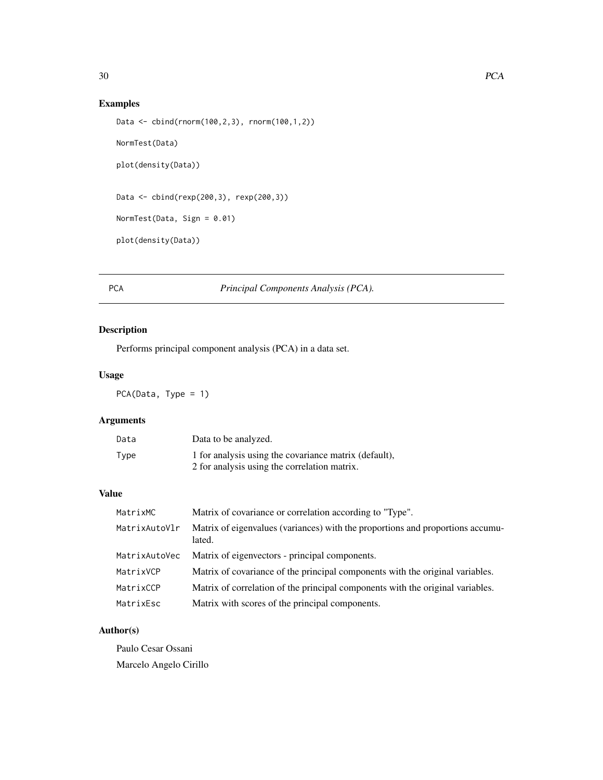# <span id="page-29-0"></span>Examples

```
Data <- cbind(rnorm(100,2,3), rnorm(100,1,2))
NormTest(Data)
plot(density(Data))
Data <- cbind(rexp(200,3), rexp(200,3))
NormTest(Data, Sign = 0.01)
plot(density(Data))
```
# <span id="page-29-1"></span>PCA *Principal Components Analysis (PCA).*

# Description

Performs principal component analysis (PCA) in a data set.

# Usage

PCA(Data, Type = 1)

# Arguments

| Data | Data to be analyzed.                                  |
|------|-------------------------------------------------------|
| Type | 1 for analysis using the covariance matrix (default), |
|      | 2 for analysis using the correlation matrix.          |

# Value

| MatrixMC      | Matrix of covariance or correlation according to "Type".                                 |
|---------------|------------------------------------------------------------------------------------------|
| MatrixAutoVlr | Matrix of eigenvalues (variances) with the proportions and proportions accumu-<br>lated. |
| MatrixAutoVec | Matrix of eigenvectors - principal components.                                           |
| MatrixVCP     | Matrix of covariance of the principal components with the original variables.            |
| MatrixCCP     | Matrix of correlation of the principal components with the original variables.           |
| MatrixEsc     | Matrix with scores of the principal components.                                          |

# Author(s)

Paulo Cesar Ossani Marcelo Angelo Cirillo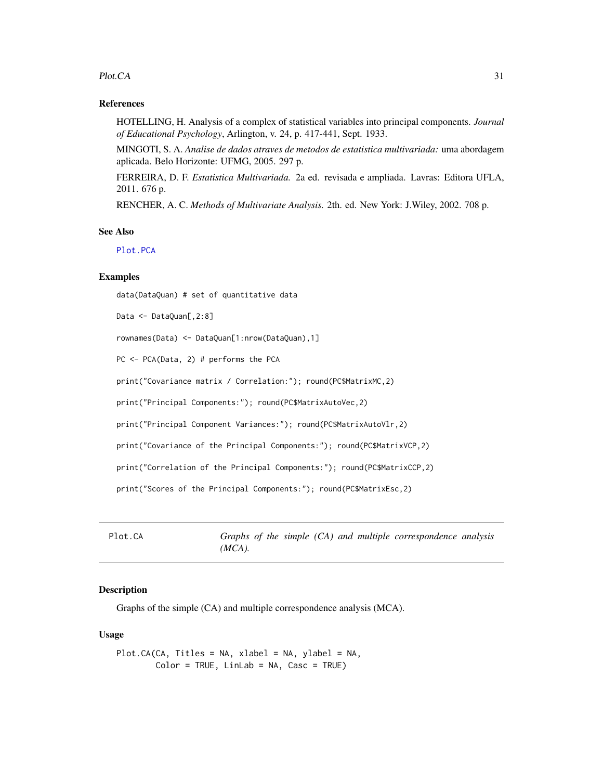#### <span id="page-30-0"></span>Plot.CA 31

#### References

HOTELLING, H. Analysis of a complex of statistical variables into principal components. *Journal of Educational Psychology*, Arlington, v. 24, p. 417-441, Sept. 1933.

MINGOTI, S. A. *Analise de dados atraves de metodos de estatistica multivariada:* uma abordagem aplicada. Belo Horizonte: UFMG, 2005. 297 p.

FERREIRA, D. F. *Estatistica Multivariada.* 2a ed. revisada e ampliada. Lavras: Editora UFLA, 2011. 676 p.

RENCHER, A. C. *Methods of Multivariate Analysis.* 2th. ed. New York: J.Wiley, 2002. 708 p.

#### See Also

[Plot.PCA](#page-35-1)

# Examples

data(DataQuan) # set of quantitative data

Data <- DataQuan[,2:8]

rownames(Data) <- DataQuan[1:nrow(DataQuan),1]

PC <- PCA(Data, 2) # performs the PCA

print("Covariance matrix / Correlation:"); round(PC\$MatrixMC,2)

print("Principal Components:"); round(PC\$MatrixAutoVec,2)

print("Principal Component Variances:"); round(PC\$MatrixAutoVlr,2)

print("Covariance of the Principal Components:"); round(PC\$MatrixVCP,2)

print("Correlation of the Principal Components:"); round(PC\$MatrixCCP,2)

print("Scores of the Principal Components:"); round(PC\$MatrixEsc,2)

<span id="page-30-1"></span>Plot.CA *Graphs of the simple (CA) and multiple correspondence analysis (MCA).*

# Description

Graphs of the simple (CA) and multiple correspondence analysis (MCA).

#### Usage

```
Plot.CA(CA, Titles = NA, xlabel = NA, ylabel = NA,
       Color = TRUE, LinLab = NA, Casc = TRUE)
```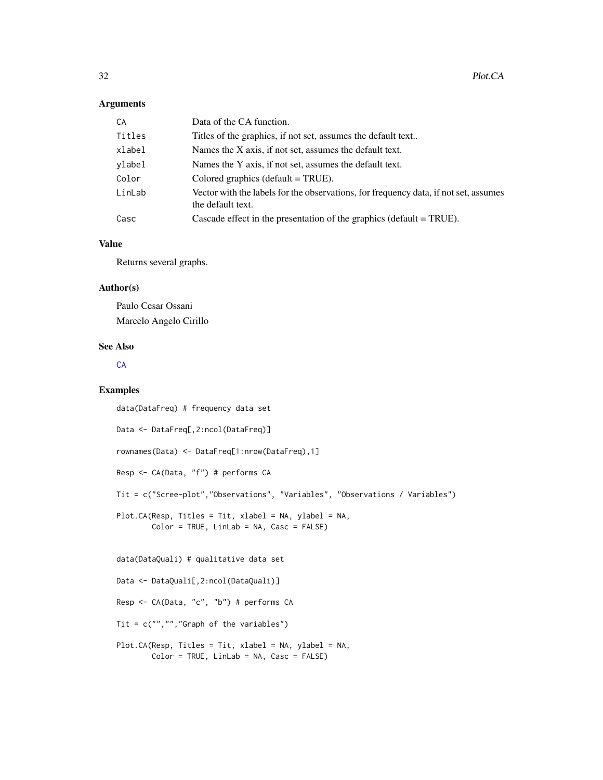#### <span id="page-31-0"></span>Arguments

| CA     | Data of the CA function.                                                                                  |
|--------|-----------------------------------------------------------------------------------------------------------|
| Titles | Titles of the graphics, if not set, assumes the default text                                              |
| xlabel | Names the X axis, if not set, assumes the default text.                                                   |
| ylabel | Names the Y axis, if not set, assumes the default text.                                                   |
| Color  | Colored graphics (default $= TRUE$ ).                                                                     |
| LinLab | Vector with the labels for the observations, for frequency data, if not set, assumes<br>the default text. |
| Casc   | Cascade effect in the presentation of the graphics (default $=$ TRUE).                                    |

### Value

Returns several graphs.

# Author(s)

Paulo Cesar Ossani Marcelo Angelo Cirillo

# See Also

**[CA](#page-2-1)** 

# Examples

```
data(DataFreq) # frequency data set
Data <- DataFreq[,2:ncol(DataFreq)]
rownames(Data) <- DataFreq[1:nrow(DataFreq),1]
Resp <- CA(Data, "f") # performs CA
Tit = c("Scree-plot","Observations", "Variables", "Observations / Variables")
Plot.CA(Resp, Titles = Tit, xlabel = NA, ylabel = NA,
       Color = TRUE, LinLab = NA, Casc = FALSE)
data(DataQuali) # qualitative data set
Data <- DataQuali[,2:ncol(DataQuali)]
Resp <- CA(Data, "c", "b") # performs CA
Tit = c("", "", "Graph of the variables")Plot.CA(Resp, Titles = Tit, xlabel = NA, ylabel = NA,
       Color = TRUE, Link = NA, Case = FALSE)
```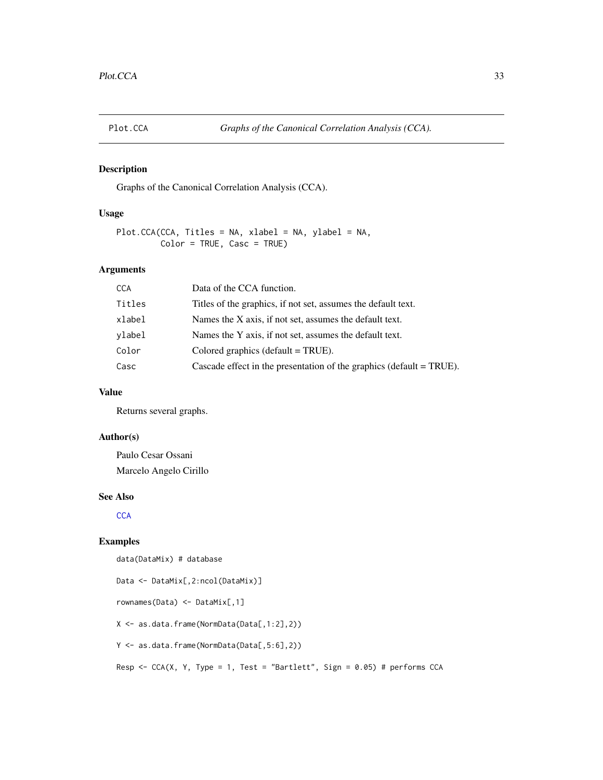<span id="page-32-1"></span><span id="page-32-0"></span>

# Description

Graphs of the Canonical Correlation Analysis (CCA).

#### Usage

```
Plot.CCA(CCA, Titles = NA, xlabel = NA, ylabel = NA,
         Color = TRUE, Casc = TRUE)
```
# Arguments

| <b>CCA</b> | Data of the CCA function.                                               |
|------------|-------------------------------------------------------------------------|
| Titles     | Titles of the graphics, if not set, assumes the default text.           |
| xlabel     | Names the X axis, if not set, assumes the default text.                 |
| ylabel     | Names the Y axis, if not set, assumes the default text.                 |
| Color      | Colored graphics (default $=$ TRUE).                                    |
| Casc       | Cascade effect in the presentation of the graphics (default $= TRUE$ ). |

#### Value

Returns several graphs.

# Author(s)

Paulo Cesar Ossani Marcelo Angelo Cirillo

#### See Also

**[CCA](#page-4-1)** 

# Examples

data(DataMix) # database

```
Data <- DataMix[,2:ncol(DataMix)]
rownames(Data) <- DataMix[,1]
X <- as.data.frame(NormData(Data[,1:2],2))
Y <- as.data.frame(NormData(Data[,5:6],2))
Resp <- CCA(X, Y, Type = 1, Test = "Bartlett", Sign = 0.05) # performs CCA
```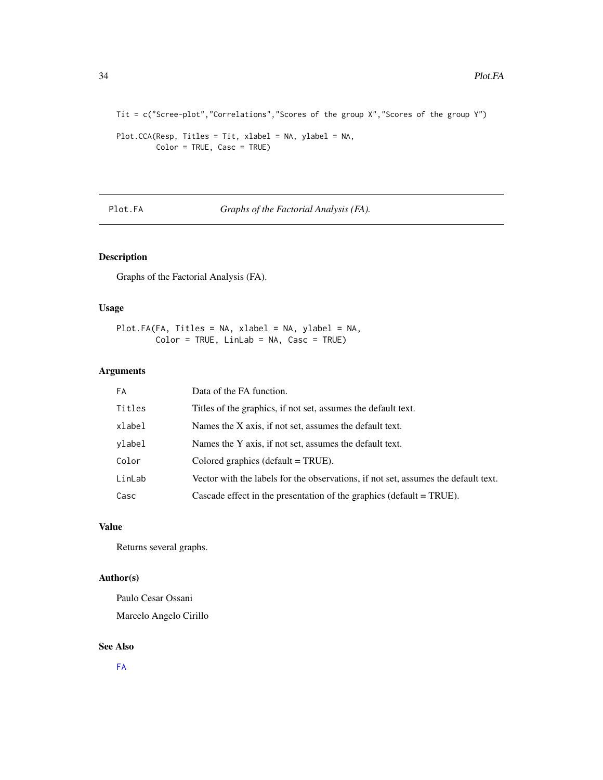```
Tit = c("Scree-plot","Correlations","Scores of the group X","Scores of the group Y")
```

```
Plot.CCA(Resp, Titles = Tit, xlabel = NA, ylabel = NA,
        Color = TRUE, Casc = TRUE)
```
<span id="page-33-1"></span>Plot.FA *Graphs of the Factorial Analysis (FA).*

# Description

Graphs of the Factorial Analysis (FA).

# Usage

Plot.FA(FA, Titles = NA, xlabel = NA, ylabel = NA, Color = TRUE, LinLab = NA, Casc = TRUE)

# Arguments

| FA     | Data of the FA function.                                                           |
|--------|------------------------------------------------------------------------------------|
| Titles | Titles of the graphics, if not set, assumes the default text.                      |
| xlabel | Names the X axis, if not set, assumes the default text.                            |
| vlabel | Names the Y axis, if not set, assumes the default text.                            |
| Color  | Colored graphics (default $=$ TRUE).                                               |
| LinLab | Vector with the labels for the observations, if not set, assumes the default text. |
| Casc   | Cascade effect in the presentation of the graphics (default $= TRUE$ ).            |

# Value

Returns several graphs.

# Author(s)

Paulo Cesar Ossani Marcelo Angelo Cirillo

# See Also

[FA](#page-13-1)

<span id="page-33-0"></span>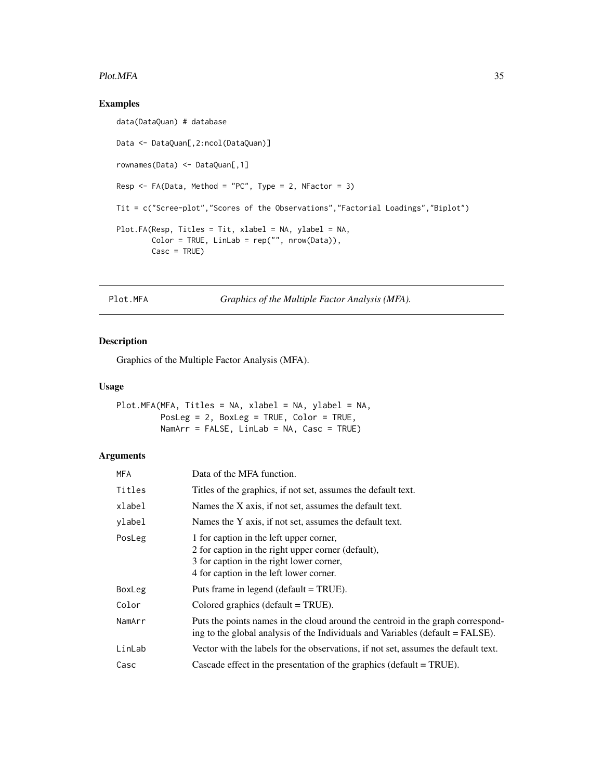#### <span id="page-34-0"></span>Plot.MFA 35

# Examples

```
data(DataQuan) # database
Data <- DataQuan[,2:ncol(DataQuan)]
rownames(Data) <- DataQuan[,1]
Resp \leq FA(Data, Method = "PC", Type = 2, NFactor = 3)
Tit = c("Scree-plot","Scores of the Observations","Factorial Loadings","Biplot")
Plot.FA(Resp, Titles = Tit, xlabel = NA, ylabel = NA,
       Color = TRUE, LinLab = rep("", nrow(Data)),
       Casc = TRUE)
```
<span id="page-34-1"></span>Plot.MFA *Graphics of the Multiple Factor Analysis (MFA).*

# Description

Graphics of the Multiple Factor Analysis (MFA).

#### Usage

```
Plot.MFA(MFA, Titles = NA, xlabel = NA, ylabel = NA,
        PosLeg = 2, BoxLeg = TRUE, Color = TRUE,
        NamArr = FALSE, Linkab = NA, Case = TRUE)
```
# Arguments

| <b>MFA</b> | Data of the MFA function.                                                                                                                                                            |
|------------|--------------------------------------------------------------------------------------------------------------------------------------------------------------------------------------|
| Titles     | Titles of the graphics, if not set, assumes the default text.                                                                                                                        |
| xlabel     | Names the X axis, if not set, assumes the default text.                                                                                                                              |
| ylabel     | Names the Y axis, if not set, assumes the default text.                                                                                                                              |
| PosLeg     | 1 for caption in the left upper corner,<br>2 for caption in the right upper corner (default),<br>3 for caption in the right lower corner,<br>4 for caption in the left lower corner. |
| BoxLeg     | Puts frame in legend (default = TRUE).                                                                                                                                               |
| Color      | Colored graphics (default $=$ TRUE).                                                                                                                                                 |
| NamArr     | Puts the points names in the cloud around the centroid in the graph correspond-<br>ing to the global analysis of the Individuals and Variables (default $=$ FALSE).                  |
| LinLab     | Vector with the labels for the observations, if not set, assumes the default text.                                                                                                   |
| Casc       | Cascade effect in the presentation of the graphics (default $=$ TRUE).                                                                                                               |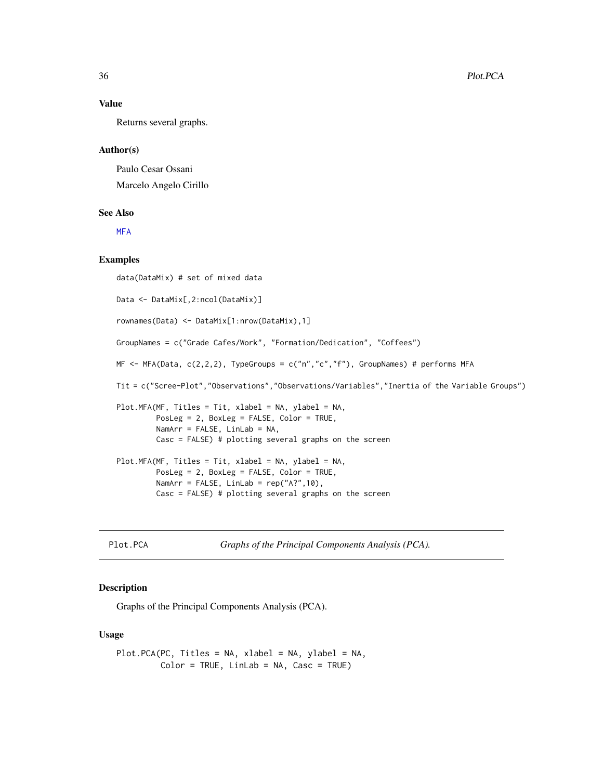# Value

Returns several graphs.

#### Author(s)

Paulo Cesar Ossani Marcelo Angelo Cirillo

#### See Also

**[MFA](#page-21-1)** 

#### Examples

data(DataMix) # set of mixed data Data <- DataMix[,2:ncol(DataMix)] rownames(Data) <- DataMix[1:nrow(DataMix),1] GroupNames = c("Grade Cafes/Work", "Formation/Dedication", "Coffees") MF <- MFA(Data, c(2,2,2), TypeGroups = c("n","c","f"), GroupNames) # performs MFA Tit = c("Scree-Plot","Observations","Observations/Variables","Inertia of the Variable Groups") Plot.MFA(MF, Titles = Tit, xlabel = NA, ylabel = NA, PosLeg = 2, BoxLeg = FALSE, Color = TRUE, NamArr = FALSE, LinLab = NA, Casc = FALSE) # plotting several graphs on the screen Plot.MFA(MF, Titles = Tit, xlabel = NA, ylabel = NA, PosLeg = 2, BoxLeg = FALSE, Color = TRUE, NamArr = FALSE, LinLab =  $rep("A?", 10)$ , Casc = FALSE) # plotting several graphs on the screen

<span id="page-35-1"></span>Plot.PCA *Graphs of the Principal Components Analysis (PCA).*

#### Description

Graphs of the Principal Components Analysis (PCA).

#### Usage

Plot.PCA(PC, Titles = NA, xlabel = NA, ylabel = NA, Color = TRUE, LinLab = NA, Casc = TRUE)

<span id="page-35-0"></span>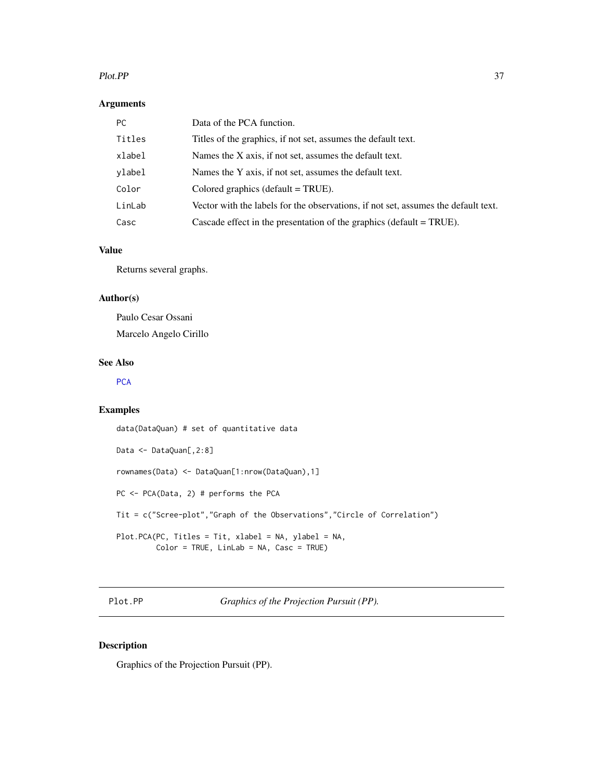#### <span id="page-36-0"></span>Plot.PP 37

#### Arguments

| PC.    | Data of the PCA function.                                                          |
|--------|------------------------------------------------------------------------------------|
| Titles | Titles of the graphics, if not set, assumes the default text.                      |
| xlabel | Names the X axis, if not set, assumes the default text.                            |
| ylabel | Names the Y axis, if not set, assumes the default text.                            |
| Color  | Colored graphics (default $=$ TRUE).                                               |
| LinLab | Vector with the labels for the observations, if not set, assumes the default text. |
| Casc   | Cascade effect in the presentation of the graphics (default $= TRUE$ ).            |

# Value

Returns several graphs.

# Author(s)

Paulo Cesar Ossani Marcelo Angelo Cirillo

# See Also

# **[PCA](#page-29-1)**

#### Examples

data(DataQuan) # set of quantitative data Data <- DataQuan[,2:8] rownames(Data) <- DataQuan[1:nrow(DataQuan),1] PC <- PCA(Data, 2) # performs the PCA Tit = c("Scree-plot","Graph of the Observations","Circle of Correlation") Plot.PCA(PC, Titles = Tit, xlabel = NA, ylabel = NA, Color = TRUE, LinLab = NA, Casc = TRUE)

<span id="page-36-1"></span>Plot.PP *Graphics of the Projection Pursuit (PP).*

# Description

Graphics of the Projection Pursuit (PP).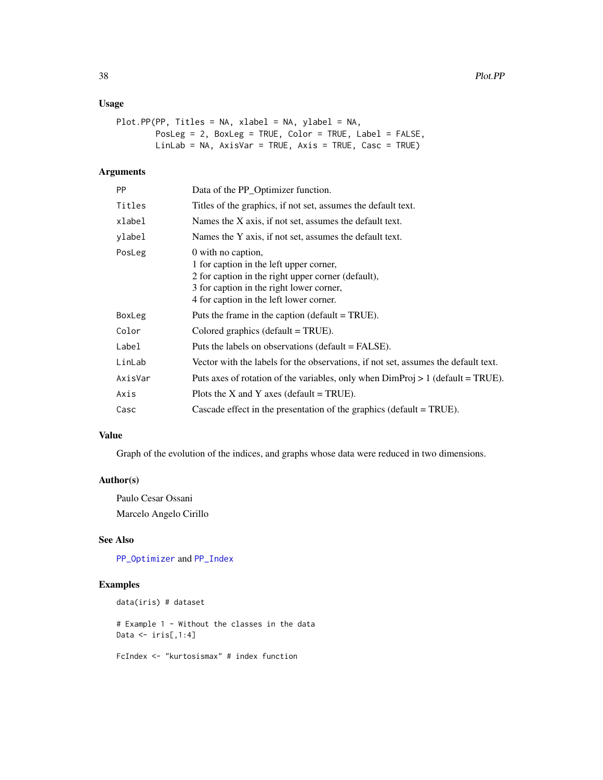# <span id="page-37-0"></span>Usage

```
Plot.PP(PP, Titles = NA, xlabel = NA, ylabel = NA,
        PosLeg = 2, BoxLeg = TRUE, Color = TRUE, Label = FALSE,
        LinLab = NA, AxisVar = TRUE, Axis = TRUE, Casc = TRUE)
```
#### Arguments

| <b>PP</b> | Data of the PP_Optimizer function.                                                                                                                                                                         |
|-----------|------------------------------------------------------------------------------------------------------------------------------------------------------------------------------------------------------------|
| Titles    | Titles of the graphics, if not set, assumes the default text.                                                                                                                                              |
| xlabel    | Names the X axis, if not set, assumes the default text.                                                                                                                                                    |
| ylabel    | Names the Y axis, if not set, assumes the default text.                                                                                                                                                    |
| PosLeg    | 0 with no caption,<br>1 for caption in the left upper corner,<br>2 for caption in the right upper corner (default),<br>3 for caption in the right lower corner,<br>4 for caption in the left lower corner. |
| BoxLeg    | Puts the frame in the caption (default $= TRUE$ ).                                                                                                                                                         |
| Color     | Colored graphics (default $= TRUE$ ).                                                                                                                                                                      |
| Label     | Puts the labels on observations (default = FALSE).                                                                                                                                                         |
| LinLab    | Vector with the labels for the observations, if not set, assumes the default text.                                                                                                                         |
| AxisVar   | Puts axes of rotation of the variables, only when $DimProj > 1$ (default = TRUE).                                                                                                                          |
| Axis      | Plots the X and Y axes (default = TRUE).                                                                                                                                                                   |
| Casc      | Cascade effect in the presentation of the graphics (default $= TRUE$ ).                                                                                                                                    |
|           |                                                                                                                                                                                                            |

# Value

Graph of the evolution of the indices, and graphs whose data were reduced in two dimensions.

#### Author(s)

Paulo Cesar Ossani Marcelo Angelo Cirillo

#### See Also

[PP\\_Optimizer](#page-43-1) and [PP\\_Index](#page-40-1)

# Examples

data(iris) # dataset

# Example 1 - Without the classes in the data Data  $\leftarrow$  iris[,1:4]

FcIndex <- "kurtosismax" # index function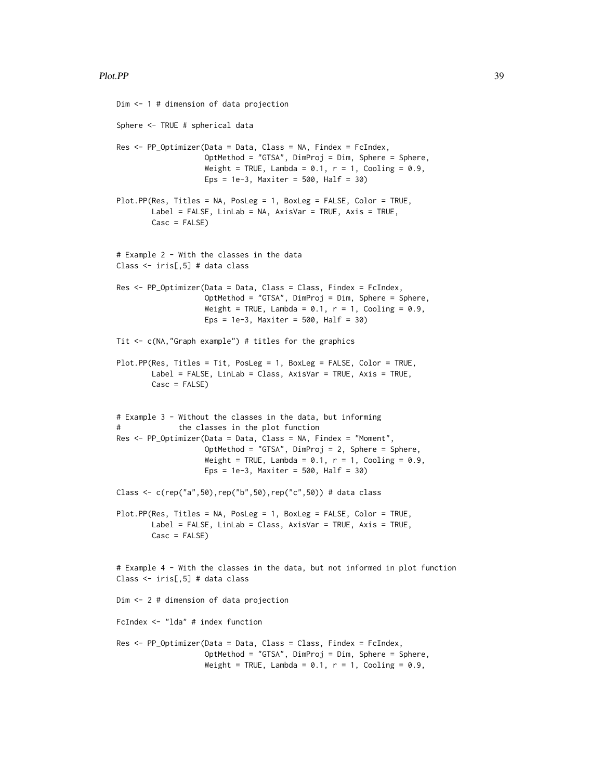#### Plot.PP 39

```
Dim <- 1 # dimension of data projection
Sphere <- TRUE # spherical data
Res <- PP_Optimizer(Data = Data, Class = NA, Findex = FcIndex,
                    OptMethod = "GTSA", DimProj = Dim, Sphere = Sphere,
                    Weight = TRUE, Lambda = 0.1, r = 1, Cooling = 0.9,
                    Eps = 1e-3, Maxiter = 500, Half = 30)
Plot.PP(Res, Titles = NA, PosLeg = 1, BoxLeg = FALSE, Color = TRUE,
        Label = FALSE, LinLab = NA, AxisVar = TRUE, Axis = TRUE,
        Casc = FALSE)
# Example 2 - With the classes in the data
Class <- iris[,5] # data class
Res <- PP_Optimizer(Data = Data, Class = Class, Findex = FcIndex,
                    OptMethod = "GTSA", DimProj = Dim, Sphere = Sphere,
                    Weight = TRUE, Lambda = 0.1, r = 1, Cooling = 0.9,
                    Eps = 1e-3, Maxiter = 500, Half = 30)
Tit \leq c(NA,"Graph example") # titles for the graphics
Plot.PP(Res, Titles = Tit, PosLeg = 1, BoxLeg = FALSE, Color = TRUE,
        Label = FALSE, LinLab = Class, AxisVar = TRUE, Axis = TRUE,
        Casc = FALSE)
# Example 3 - Without the classes in the data, but informing
# the classes in the plot function
Res <- PP_Optimizer(Data = Data, Class = NA, Findex = "Moment",
                    OptMethod = "GTSA", DimProj = 2, Sphere = Sphere,
                    Weight = TRUE, Lambda = 0.1, r = 1, Cooling = 0.9,
                    Eps = 1e-3, Maxiter = 500, Half = 30)
Class <- c(rep("a",50),rep("b",50),rep("c",50)) # data class
Plot.PP(Res, Titles = NA, PosLeg = 1, BoxLeg = FALSE, Color = TRUE,
        Label = FALSE, LinLab = Class, AxisVar = TRUE, Axis = TRUE,
        Casc = FALSE)
# Example 4 - With the classes in the data, but not informed in plot function
Class <- iris[,5] # data class
Dim <- 2 # dimension of data projection
FcIndex <- "lda" # index function
Res <- PP_Optimizer(Data = Data, Class = Class, Findex = FcIndex,
                    OptMethod = "GTSA", DimProj = Dim, Sphere = Sphere,
                    Weight = TRUE, Lambda = 0.1, r = 1, Cooling = 0.9,
```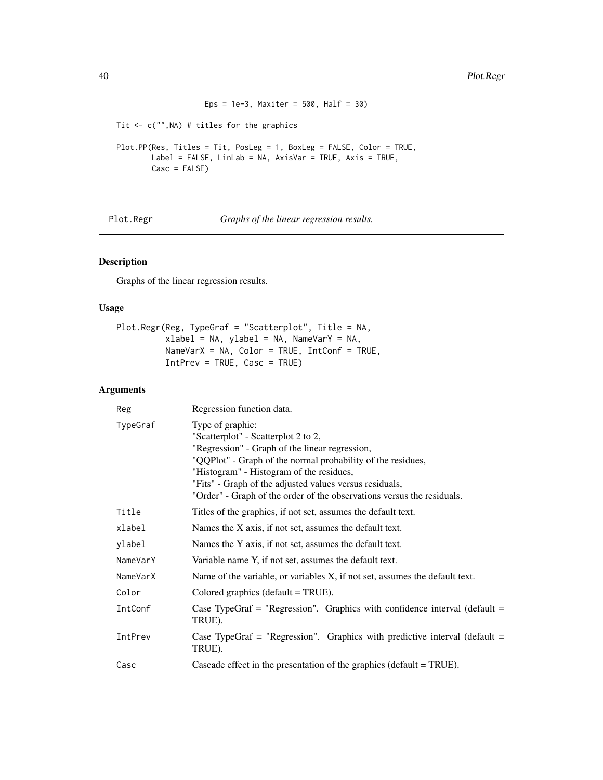```
Eps = 1e-3, Maxiter = 500, Half = 30)
Tit <- c("",NA) # titles for the graphics
Plot.PP(Res, Titles = Tit, PosLeg = 1, BoxLeg = FALSE, Color = TRUE,
        Label = FALSE, LinLab = NA, AxisVar = TRUE, Axis = TRUE,
        Casc = FALSE)
```
<span id="page-39-1"></span>Plot.Regr *Graphs of the linear regression results.*

### Description

Graphs of the linear regression results.

# Usage

```
Plot.Regr(Reg, TypeGraf = "Scatterplot", Title = NA,
          xlabel = NA, ylabel = NA, NameVarY = NA,
          NameVarX = NA, Color = TRUE, IntConf = TRUE,
          IntPrev = TRUE, Casc = TRUE)
```
# Arguments

| Reg      | Regression function data.                                                                                                                                                                                                                                                                                                                                 |
|----------|-----------------------------------------------------------------------------------------------------------------------------------------------------------------------------------------------------------------------------------------------------------------------------------------------------------------------------------------------------------|
| TypeGraf | Type of graphic:<br>"Scatterplot" - Scatterplot 2 to 2,<br>"Regression" - Graph of the linear regression,<br>"QQPlot" - Graph of the normal probability of the residues,<br>"Histogram" - Histogram of the residues,<br>"Fits" - Graph of the adjusted values versus residuals,<br>"Order" - Graph of the order of the observations versus the residuals. |
| Title    | Titles of the graphics, if not set, assumes the default text.                                                                                                                                                                                                                                                                                             |
| xlabel   | Names the X axis, if not set, assumes the default text.                                                                                                                                                                                                                                                                                                   |
| ylabel   | Names the Y axis, if not set, assumes the default text.                                                                                                                                                                                                                                                                                                   |
| NameVarY | Variable name Y, if not set, assumes the default text.                                                                                                                                                                                                                                                                                                    |
| NameVarX | Name of the variable, or variables X, if not set, assumes the default text.                                                                                                                                                                                                                                                                               |
| Color    | Colored graphics (default $= TRUE$ ).                                                                                                                                                                                                                                                                                                                     |
| IntConf  | Case TypeGraf = "Regression". Graphics with confidence interval (default =<br>TRUE).                                                                                                                                                                                                                                                                      |
| IntPrev  | Case TypeGraf = "Regression". Graphics with predictive interval (default =<br>TRUE).                                                                                                                                                                                                                                                                      |
| Casc     | Cascade effect in the presentation of the graphics (default $= TRUE$ ).                                                                                                                                                                                                                                                                                   |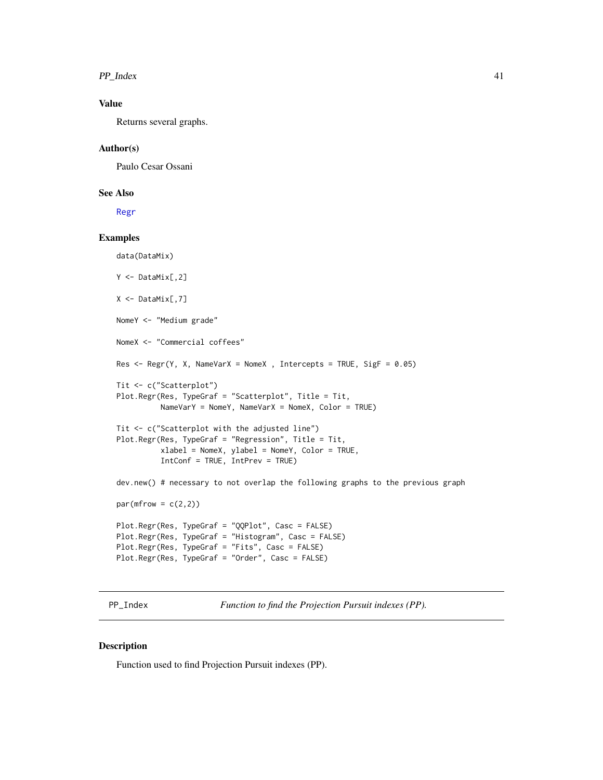<span id="page-40-0"></span> $PP\_Index$  41

# Value

Returns several graphs.

#### Author(s)

Paulo Cesar Ossani

#### See Also

[Regr](#page-46-1)

# Examples

```
data(DataMix)
Y <- DataMix[,2]
X <- DataMix[,7]
NomeY <- "Medium grade"
NomeX <- "Commercial coffees"
Res \leq Regr(Y, X, NameVarX = NomeX, Intercepts = TRUE, SigF = 0.05)
Tit <- c("Scatterplot")
Plot.Regr(Res, TypeGraf = "Scatterplot", Title = Tit,
          NameVarY = NomeY, NameVarX = NomeX, Color = TRUE)
Tit <- c("Scatterplot with the adjusted line")
Plot.Regr(Res, TypeGraf = "Regression", Title = Tit,
          xlabel = NomeX, ylabel = NomeY, Color = TRUE,
          IntConf = TRUE, IntPrev = TRUE)
dev.new() # necessary to not overlap the following graphs to the previous graph
par(mfrow = c(2,2))Plot.Regr(Res, TypeGraf = "QQPlot", Casc = FALSE)
Plot.Regr(Res, TypeGraf = "Histogram", Casc = FALSE)
Plot.Regr(Res, TypeGraf = "Fits", Casc = FALSE)
Plot.Regr(Res, TypeGraf = "Order", Casc = FALSE)
```
<span id="page-40-1"></span>PP\_Index *Function to find the Projection Pursuit indexes (PP).*

#### Description

Function used to find Projection Pursuit indexes (PP).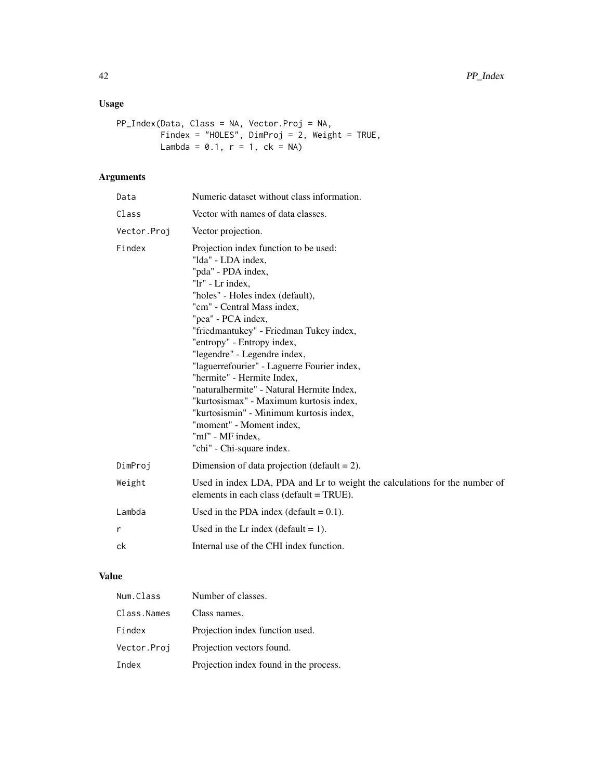# Usage

```
PP_Index(Data, Class = NA, Vector.Proj = NA,
        Findex = "HOLES", DimProj = 2, Weight = TRUE,
         Lambda = 0.1, r = 1, ck = NA)
```
# Arguments

| Data        | Numeric dataset without class information.                                                                                                                                                                                                                                                                                                                                                                                                                                                                                                                                                          |  |
|-------------|-----------------------------------------------------------------------------------------------------------------------------------------------------------------------------------------------------------------------------------------------------------------------------------------------------------------------------------------------------------------------------------------------------------------------------------------------------------------------------------------------------------------------------------------------------------------------------------------------------|--|
| Class       | Vector with names of data classes.                                                                                                                                                                                                                                                                                                                                                                                                                                                                                                                                                                  |  |
| Vector.Proj | Vector projection.                                                                                                                                                                                                                                                                                                                                                                                                                                                                                                                                                                                  |  |
| Findex      | Projection index function to be used:<br>"Ida" - LDA index,<br>"pda" - PDA index,<br>"lr" - Lr index.<br>"holes" - Holes index (default),<br>"cm" - Central Mass index,<br>"pca" - PCA index,<br>"friedmantukey" - Friedman Tukey index,<br>"entropy" - Entropy index,<br>"legendre" - Legendre index,<br>"laguerrefourier" - Laguerre Fourier index,<br>"hermite" - Hermite Index,<br>"naturalhermite" - Natural Hermite Index,<br>"kurtosismax" - Maximum kurtosis index,<br>"kurtosismin" - Minimum kurtosis index,<br>"moment" - Moment index,<br>"mf" - MF index,<br>"chi" - Chi-square index. |  |
| DimProj     | Dimension of data projection (default $= 2$ ).                                                                                                                                                                                                                                                                                                                                                                                                                                                                                                                                                      |  |
| Weight      | Used in index LDA, PDA and Lr to weight the calculations for the number of<br>elements in each class (default = TRUE).                                                                                                                                                                                                                                                                                                                                                                                                                                                                              |  |
| Lambda      | Used in the PDA index (default $= 0.1$ ).                                                                                                                                                                                                                                                                                                                                                                                                                                                                                                                                                           |  |
| r           | Used in the Lr index (default $= 1$ ).                                                                                                                                                                                                                                                                                                                                                                                                                                                                                                                                                              |  |
| ck          | Internal use of the CHI index function.                                                                                                                                                                                                                                                                                                                                                                                                                                                                                                                                                             |  |

# Value

| Num.Class   | Number of classes.                     |
|-------------|----------------------------------------|
| Class.Names | Class names.                           |
| Findex      | Projection index function used.        |
| Vector.Proj | Projection vectors found.              |
| Index       | Projection index found in the process. |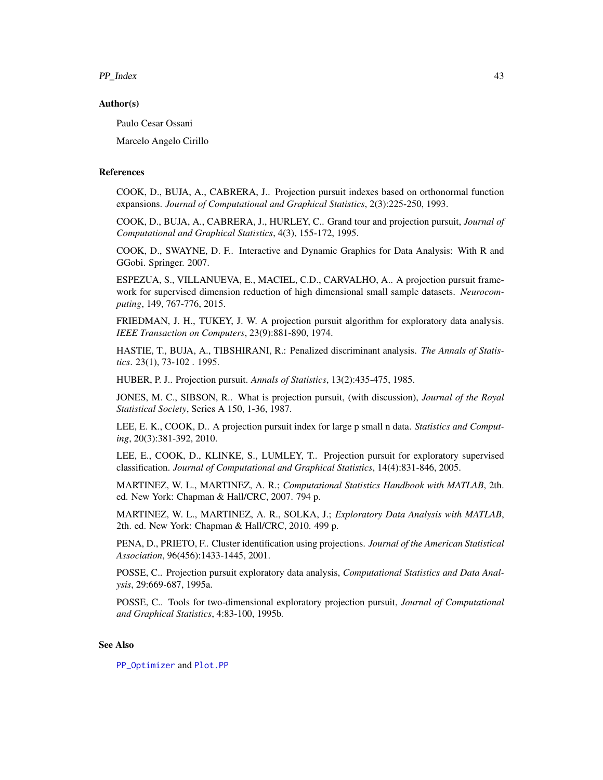<span id="page-42-0"></span>PP\_Index 43

#### Author(s)

Paulo Cesar Ossani

Marcelo Angelo Cirillo

#### References

COOK, D., BUJA, A., CABRERA, J.. Projection pursuit indexes based on orthonormal function expansions. *Journal of Computational and Graphical Statistics*, 2(3):225-250, 1993.

COOK, D., BUJA, A., CABRERA, J., HURLEY, C.. Grand tour and projection pursuit, *Journal of Computational and Graphical Statistics*, 4(3), 155-172, 1995.

COOK, D., SWAYNE, D. F.. Interactive and Dynamic Graphics for Data Analysis: With R and GGobi. Springer. 2007.

ESPEZUA, S., VILLANUEVA, E., MACIEL, C.D., CARVALHO, A.. A projection pursuit framework for supervised dimension reduction of high dimensional small sample datasets. *Neurocomputing*, 149, 767-776, 2015.

FRIEDMAN, J. H., TUKEY, J. W. A projection pursuit algorithm for exploratory data analysis. *IEEE Transaction on Computers*, 23(9):881-890, 1974.

HASTIE, T., BUJA, A., TIBSHIRANI, R.: Penalized discriminant analysis. *The Annals of Statistics*. 23(1), 73-102 . 1995.

HUBER, P. J.. Projection pursuit. *Annals of Statistics*, 13(2):435-475, 1985.

JONES, M. C., SIBSON, R.. What is projection pursuit, (with discussion), *Journal of the Royal Statistical Society*, Series A 150, 1-36, 1987.

LEE, E. K., COOK, D.. A projection pursuit index for large p small n data. *Statistics and Computing*, 20(3):381-392, 2010.

LEE, E., COOK, D., KLINKE, S., LUMLEY, T.. Projection pursuit for exploratory supervised classification. *Journal of Computational and Graphical Statistics*, 14(4):831-846, 2005.

MARTINEZ, W. L., MARTINEZ, A. R.; *Computational Statistics Handbook with MATLAB*, 2th. ed. New York: Chapman & Hall/CRC, 2007. 794 p.

MARTINEZ, W. L., MARTINEZ, A. R., SOLKA, J.; *Exploratory Data Analysis with MATLAB*, 2th. ed. New York: Chapman & Hall/CRC, 2010. 499 p.

PENA, D., PRIETO, F.. Cluster identification using projections. *Journal of the American Statistical Association*, 96(456):1433-1445, 2001.

POSSE, C.. Projection pursuit exploratory data analysis, *Computational Statistics and Data Analysis*, 29:669-687, 1995a.

POSSE, C.. Tools for two-dimensional exploratory projection pursuit, *Journal of Computational and Graphical Statistics*, 4:83-100, 1995b.

#### See Also

[PP\\_Optimizer](#page-43-1) and [Plot.PP](#page-36-1)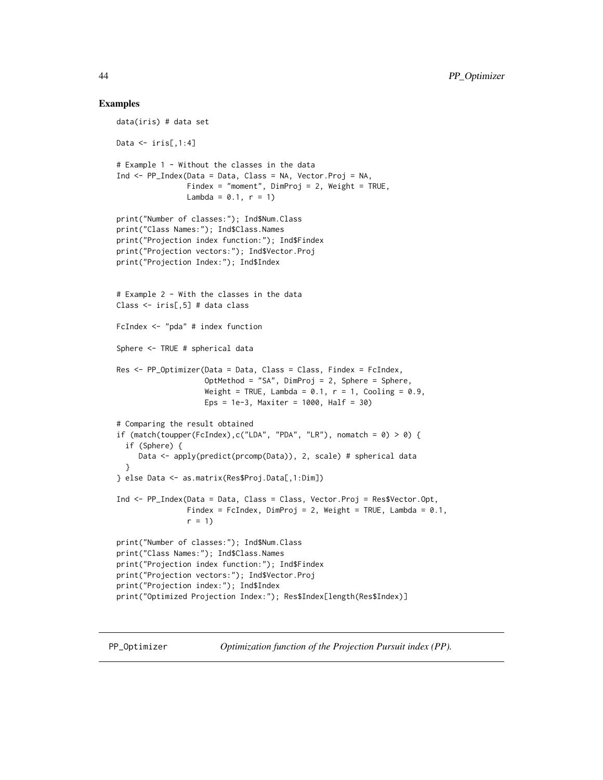#### Examples

```
data(iris) # data set
Data \le iris[,1:4]
# Example 1 - Without the classes in the data
Ind <- PP_Index(Data = Data, Class = NA, Vector.Proj = NA,
                Findex = "moment", DimProj = 2, Weight = TRUE,
                Lambda = 0.1, r = 1)
print("Number of classes:"); Ind$Num.Class
print("Class Names:"); Ind$Class.Names
print("Projection index function:"); Ind$Findex
print("Projection vectors:"); Ind$Vector.Proj
print("Projection Index:"); Ind$Index
# Example 2 - With the classes in the data
Class <- iris[,5] # data class
FcIndex <- "pda" # index function
Sphere <- TRUE # spherical data
Res <- PP_Optimizer(Data = Data, Class = Class, Findex = FcIndex,
                    OptMethod = "SA", DimProj = 2, Sphere = Sphere,
                    Weight = TRUE, Lambda = 0.1, r = 1, Cooling = 0.9,
                    Eps = 1e-3, Maxiter = 1000, Half = 30)
# Comparing the result obtained
if (match(toupper(FcIndex),c("LDA", "PDA", "LR"), nomatch = 0) > 0) {
  if (Sphere) {
     Data <- apply(predict(prcomp(Data)), 2, scale) # spherical data
  }
} else Data <- as.matrix(Res$Proj.Data[,1:Dim])
Ind <- PP_Index(Data = Data, Class = Class, Vector.Proj = Res$Vector.Opt,
                Findex = FcIndex, DimProj = 2, Weight = TRUE, Lambda = 0.1,
                r = 1print("Number of classes:"); Ind$Num.Class
print("Class Names:"); Ind$Class.Names
print("Projection index function:"); Ind$Findex
print("Projection vectors:"); Ind$Vector.Proj
print("Projection index:"); Ind$Index
print("Optimized Projection Index:"); Res$Index[length(Res$Index)]
```
<span id="page-43-1"></span>

PP\_Optimizer *Optimization function of the Projection Pursuit index (PP).*

<span id="page-43-0"></span>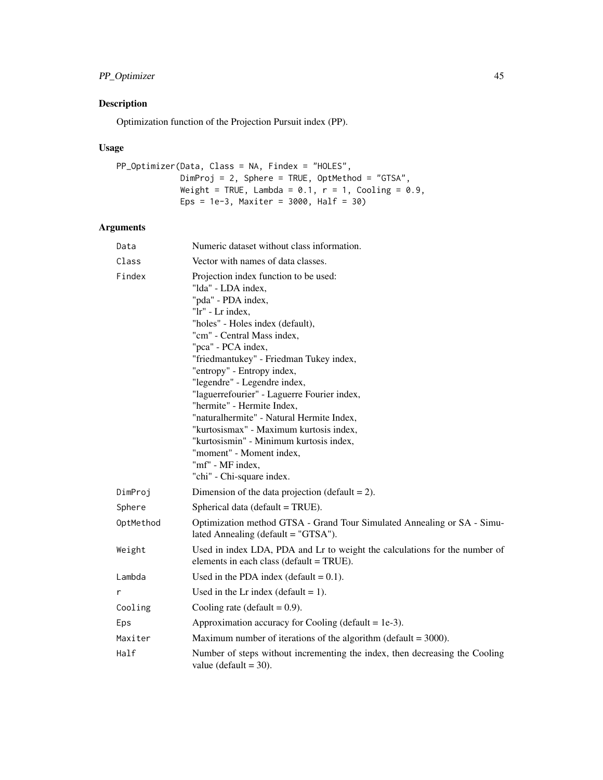# PP\_Optimizer 45

# Description

Optimization function of the Projection Pursuit index (PP).

# Usage

```
PP_Optimizer(Data, Class = NA, Findex = "HOLES",
            DimProj = 2, Sphere = TRUE, OptMethod = "GTSA",
            Weight = TRUE, Lambda = 0.1, r = 1, Cooling = 0.9,
            Eps = 1e-3, Maxiter = 3000, Half = 30)
```
# Arguments

| Data      | Numeric dataset without class information.                                                                                                                                                                                                                                                                                                                                                                                                                                                                                                                                                          |  |
|-----------|-----------------------------------------------------------------------------------------------------------------------------------------------------------------------------------------------------------------------------------------------------------------------------------------------------------------------------------------------------------------------------------------------------------------------------------------------------------------------------------------------------------------------------------------------------------------------------------------------------|--|
| Class     | Vector with names of data classes.                                                                                                                                                                                                                                                                                                                                                                                                                                                                                                                                                                  |  |
| Findex    | Projection index function to be used:<br>"Ida" - LDA index,<br>"pda" - PDA index,<br>"lr" - Lr index.<br>"holes" - Holes index (default),<br>"cm" - Central Mass index,<br>"pca" - PCA index,<br>"friedmantukey" - Friedman Tukey index,<br>"entropy" - Entropy index,<br>"legendre" - Legendre index,<br>"laguerrefourier" - Laguerre Fourier index,<br>"hermite" - Hermite Index,<br>"naturalhermite" - Natural Hermite Index,<br>"kurtosismax" - Maximum kurtosis index,<br>"kurtosismin" - Minimum kurtosis index,<br>"moment" - Moment index,<br>"mf" - MF index,<br>"chi" - Chi-square index. |  |
| DimProj   | Dimension of the data projection (default $= 2$ ).                                                                                                                                                                                                                                                                                                                                                                                                                                                                                                                                                  |  |
| Sphere    | Spherical data (default = TRUE).                                                                                                                                                                                                                                                                                                                                                                                                                                                                                                                                                                    |  |
| OptMethod | Optimization method GTSA - Grand Tour Simulated Annealing or SA - Simu-<br>lated Annealing (default $=$ "GTSA").                                                                                                                                                                                                                                                                                                                                                                                                                                                                                    |  |
| Weight    | Used in index LDA, PDA and Lr to weight the calculations for the number of<br>elements in each class (default = TRUE).                                                                                                                                                                                                                                                                                                                                                                                                                                                                              |  |
| Lambda    | Used in the PDA index (default $= 0.1$ ).                                                                                                                                                                                                                                                                                                                                                                                                                                                                                                                                                           |  |
| r         | Used in the Lr index (default $= 1$ ).                                                                                                                                                                                                                                                                                                                                                                                                                                                                                                                                                              |  |
| Cooling   | Cooling rate (default = $0.9$ ).                                                                                                                                                                                                                                                                                                                                                                                                                                                                                                                                                                    |  |
| Eps       | Approximation accuracy for Cooling (default = $1e-3$ ).                                                                                                                                                                                                                                                                                                                                                                                                                                                                                                                                             |  |
| Maxiter   | Maximum number of iterations of the algorithm (default $=$ 3000).                                                                                                                                                                                                                                                                                                                                                                                                                                                                                                                                   |  |
| Half      | Number of steps without incrementing the index, then decreasing the Cooling<br>value (default $=$ 30).                                                                                                                                                                                                                                                                                                                                                                                                                                                                                              |  |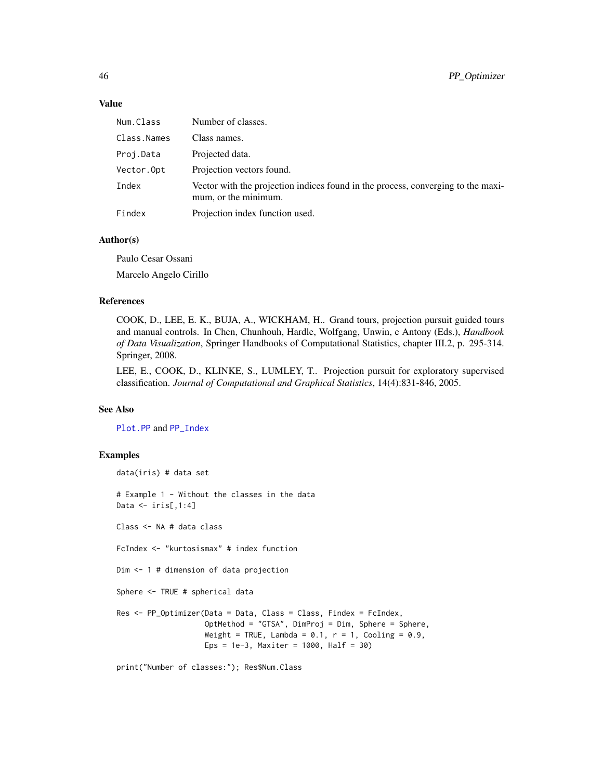### <span id="page-45-0"></span>Value

| Num.Class   | Number of classes.                                                                                       |
|-------------|----------------------------------------------------------------------------------------------------------|
| Class.Names | Class names.                                                                                             |
| Proj.Data   | Projected data.                                                                                          |
| Vector.Opt  | Projection vectors found.                                                                                |
| Index       | Vector with the projection indices found in the process, converging to the maxi-<br>mum, or the minimum. |
| Findex      | Projection index function used.                                                                          |

# Author(s)

Paulo Cesar Ossani

Marcelo Angelo Cirillo

#### References

COOK, D., LEE, E. K., BUJA, A., WICKHAM, H.. Grand tours, projection pursuit guided tours and manual controls. In Chen, Chunhouh, Hardle, Wolfgang, Unwin, e Antony (Eds.), *Handbook of Data Visualization*, Springer Handbooks of Computational Statistics, chapter III.2, p. 295-314. Springer, 2008.

LEE, E., COOK, D., KLINKE, S., LUMLEY, T.. Projection pursuit for exploratory supervised classification. *Journal of Computational and Graphical Statistics*, 14(4):831-846, 2005.

#### See Also

[Plot.PP](#page-36-1) and [PP\\_Index](#page-40-1)

#### Examples

```
data(iris) # data set
# Example 1 - Without the classes in the data
Data \le iris[,1:4]
Class <- NA # data class
FcIndex <- "kurtosismax" # index function
Dim <- 1 # dimension of data projection
Sphere <- TRUE # spherical data
Res <- PP_Optimizer(Data = Data, Class = Class, Findex = FcIndex,
                    OptMethod = "GTSA", DimProj = Dim, Sphere = Sphere,
                    Weight = TRUE, Lambda = 0.1, r = 1, Cooling = 0.9,
                    Eps = 1e-3, Maxiter = 1000, Half = 30)
```
print("Number of classes:"); Res\$Num.Class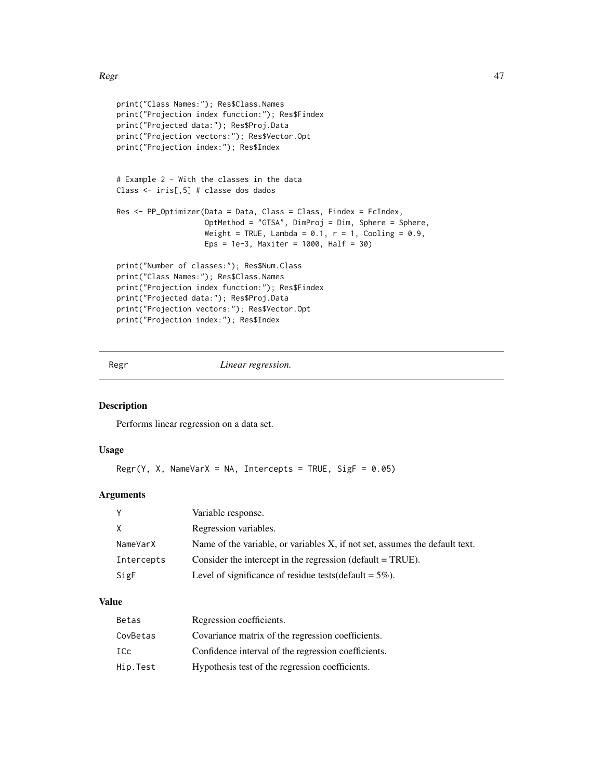#### <span id="page-46-0"></span> $Regr$  47

```
print("Class Names:"); Res$Class.Names
print("Projection index function:"); Res$Findex
print("Projected data:"); Res$Proj.Data
print("Projection vectors:"); Res$Vector.Opt
print("Projection index:"); Res$Index
# Example 2 - With the classes in the data
Class <- iris[,5] # classe dos dados
Res <- PP_Optimizer(Data = Data, Class = Class, Findex = FcIndex,
                    OptMethod = "GTSA", DimProj = Dim, Sphere = Sphere,
                    Weight = TRUE, Lambda = 0.1, r = 1, Cooling = 0.9,
                    Eps = 1e-3, Maxiter = 1000, Half = 30)
print("Number of classes:"); Res$Num.Class
print("Class Names:"); Res$Class.Names
print("Projection index function:"); Res$Findex
print("Projected data:"); Res$Proj.Data
print("Projection vectors:"); Res$Vector.Opt
print("Projection index:"); Res$Index
```
<span id="page-46-1"></span>

Regr *Linear regression.*

#### Description

Performs linear regression on a data set.

#### Usage

```
Regr(Y, X, NameVarX = NA, Intercepts = TRUE, SigF = 0.05)
```
# Arguments

|            | Variable response.                                                          |
|------------|-----------------------------------------------------------------------------|
| X          | Regression variables.                                                       |
| NameVarX   | Name of the variable, or variables X, if not set, assumes the default text. |
| Intercepts | Consider the intercept in the regression (default $= TRUE$ ).               |
| SigF       | Level of significance of residue tests (default = $5\%$ ).                  |

#### Value

| Betas    | Regression coefficients.                            |
|----------|-----------------------------------------------------|
| CovBetas | Covariance matrix of the regression coefficients.   |
| ICc      | Confidence interval of the regression coefficients. |
| Hip.Test | Hypothesis test of the regression coefficients.     |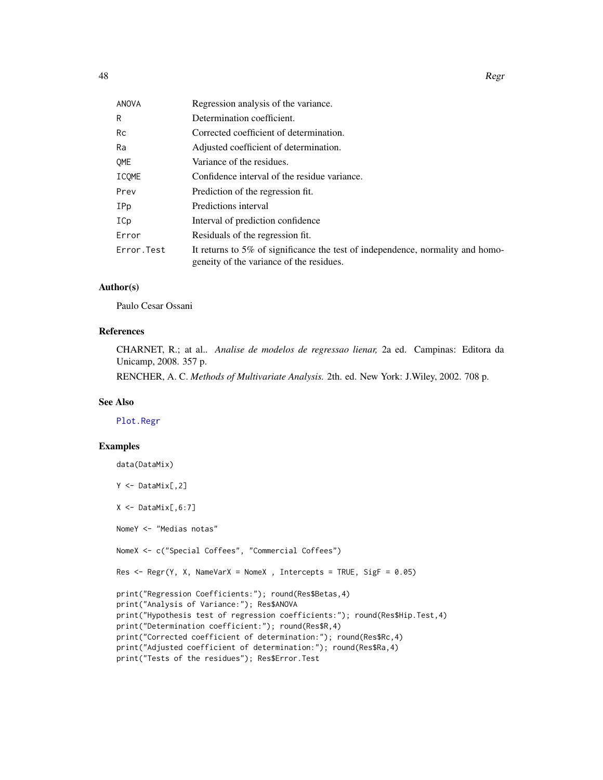<span id="page-47-0"></span>

| I | I           |
|---|-------------|
|   | I<br>×<br>٧ |

| ANOVA      | Regression analysis of the variance.                                                                                       |
|------------|----------------------------------------------------------------------------------------------------------------------------|
| R          | Determination coefficient.                                                                                                 |
| Rc         | Corrected coefficient of determination.                                                                                    |
| Ra         | Adjusted coefficient of determination.                                                                                     |
| OME        | Variance of the residues.                                                                                                  |
| ICOME      | Confidence interval of the residue variance.                                                                               |
| Prev       | Prediction of the regression fit.                                                                                          |
| IPp        | Predictions interval                                                                                                       |
| ICp        | Interval of prediction confidence                                                                                          |
| Error      | Residuals of the regression fit.                                                                                           |
| Error.Test | It returns to 5% of significance the test of independence, normality and homo-<br>geneity of the variance of the residues. |

# Author(s)

Paulo Cesar Ossani

# References

CHARNET, R.; at al.. *Analise de modelos de regressao lienar,* 2a ed. Campinas: Editora da Unicamp, 2008. 357 p.

RENCHER, A. C. *Methods of Multivariate Analysis.* 2th. ed. New York: J.Wiley, 2002. 708 p.

#### See Also

[Plot.Regr](#page-39-1)

#### Examples

```
data(DataMix)
Y <- DataMix[,2]
X <- DataMix[,6:7]
NomeY <- "Medias notas"
NomeX <- c("Special Coffees", "Commercial Coffees")
Res \leq Regr(Y, X, NameVarX = NomeX, Intercepts = TRUE, SigF = 0.05)
print("Regression Coefficients:"); round(Res$Betas,4)
print("Analysis of Variance:"); Res$ANOVA
print("Hypothesis test of regression coefficients:"); round(Res$Hip.Test,4)
print("Determination coefficient:"); round(Res$R,4)
print("Corrected coefficient of determination:"); round(Res$Rc,4)
print("Adjusted coefficient of determination:"); round(Res$Ra,4)
print("Tests of the residues"); Res$Error.Test
```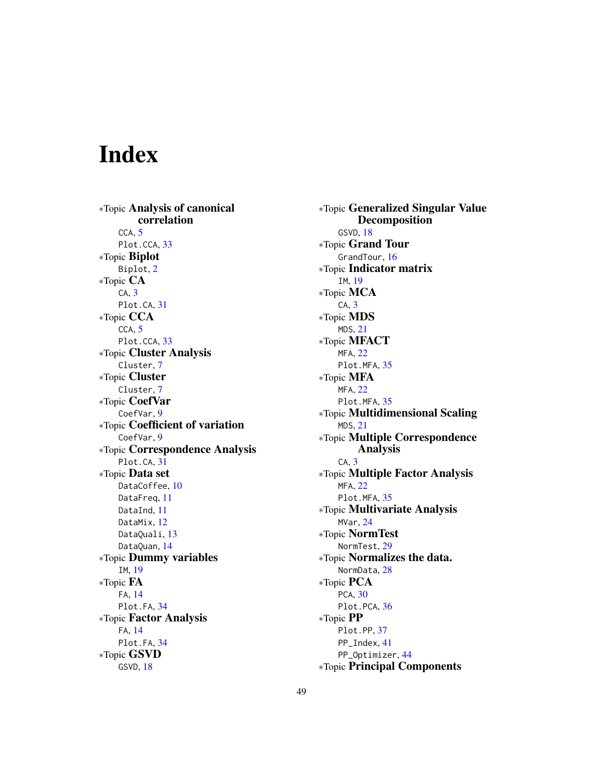# <span id="page-48-0"></span>Index

∗Topic Analysis of canonical correlation CCA, [5](#page-4-0) Plot.CCA, [33](#page-32-0) ∗Topic Biplot Biplot, [2](#page-1-0) ∗Topic CA CA, [3](#page-2-0) Plot.CA, [31](#page-30-0) ∗Topic CCA  $CCA, 5$  $CCA, 5$ Plot.CCA, [33](#page-32-0) ∗Topic Cluster Analysis Cluster, [7](#page-6-0) ∗Topic Cluster Cluster, [7](#page-6-0) ∗Topic CoefVar CoefVar, [9](#page-8-0) ∗Topic Coefficient of variation CoefVar, [9](#page-8-0) ∗Topic Correspondence Analysis Plot.CA, [31](#page-30-0) ∗Topic Data set DataCoffee, [10](#page-9-0) DataFreq, [11](#page-10-0) DataInd, [11](#page-10-0) DataMix, [12](#page-11-0) DataQuali, [13](#page-12-0) DataQuan, [14](#page-13-0) ∗Topic Dummy variables IM, [19](#page-18-0) ∗Topic FA FA, [14](#page-13-0) Plot.FA, [34](#page-33-0) ∗Topic Factor Analysis FA, [14](#page-13-0) Plot.FA, [34](#page-33-0) ∗Topic GSVD GSVD, [18](#page-17-0)

∗Topic Generalized Singular Value Decomposition GSVD, [18](#page-17-0) ∗Topic Grand Tour GrandTour, [16](#page-15-0) ∗Topic Indicator matrix IM, [19](#page-18-0) ∗Topic MCA CA, [3](#page-2-0) ∗Topic MDS MDS, [21](#page-20-0) ∗Topic MFACT MFA, [22](#page-21-0) Plot.MFA, [35](#page-34-0) ∗Topic MFA MFA, [22](#page-21-0) Plot.MFA, [35](#page-34-0) ∗Topic Multidimensional Scaling MDS, [21](#page-20-0) ∗Topic Multiple Correspondence Analysis CA, [3](#page-2-0) ∗Topic Multiple Factor Analysis MFA, [22](#page-21-0) Plot.MFA, [35](#page-34-0) ∗Topic Multivariate Analysis MVar, [24](#page-23-0) ∗Topic NormTest NormTest, [29](#page-28-0) ∗Topic Normalizes the data. NormData, [28](#page-27-0) ∗Topic PCA PCA, [30](#page-29-0) Plot.PCA, [36](#page-35-0) ∗Topic PP Plot.PP, [37](#page-36-0) PP\_Index, [41](#page-40-0) PP\_Optimizer, [44](#page-43-0) ∗Topic Principal Components